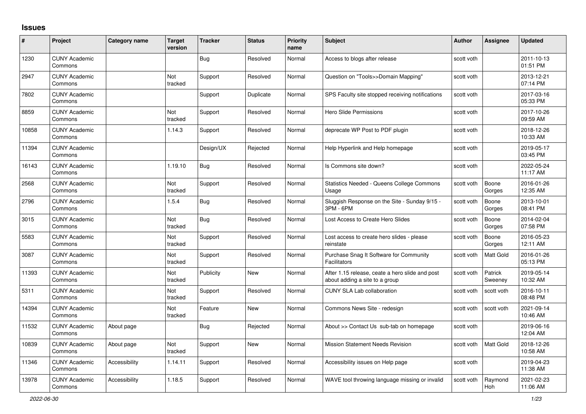## **Issues**

| #     | <b>Project</b>                  | Category name | <b>Target</b><br>version | <b>Tracker</b> | <b>Status</b> | <b>Priority</b><br>name | Subject                                                                           | <b>Author</b> | <b>Assignee</b>    | <b>Updated</b>         |
|-------|---------------------------------|---------------|--------------------------|----------------|---------------|-------------------------|-----------------------------------------------------------------------------------|---------------|--------------------|------------------------|
| 1230  | <b>CUNY Academic</b><br>Commons |               |                          | Bug            | Resolved      | Normal                  | Access to blogs after release                                                     | scott voth    |                    | 2011-10-13<br>01:51 PM |
| 2947  | <b>CUNY Academic</b><br>Commons |               | Not<br>tracked           | Support        | Resolved      | Normal                  | Question on "Tools>>Domain Mapping"                                               | scott voth    |                    | 2013-12-21<br>07:14 PM |
| 7802  | <b>CUNY Academic</b><br>Commons |               |                          | Support        | Duplicate     | Normal                  | SPS Faculty site stopped receiving notifications                                  | scott voth    |                    | 2017-03-16<br>05:33 PM |
| 8859  | <b>CUNY Academic</b><br>Commons |               | Not<br>tracked           | Support        | Resolved      | Normal                  | Hero Slide Permissions                                                            | scott voth    |                    | 2017-10-26<br>09:59 AM |
| 10858 | <b>CUNY Academic</b><br>Commons |               | 1.14.3                   | Support        | Resolved      | Normal                  | deprecate WP Post to PDF plugin                                                   | scott voth    |                    | 2018-12-26<br>10:33 AM |
| 11394 | <b>CUNY Academic</b><br>Commons |               |                          | Design/UX      | Rejected      | Normal                  | Help Hyperlink and Help homepage                                                  | scott voth    |                    | 2019-05-17<br>03:45 PM |
| 16143 | <b>CUNY Academic</b><br>Commons |               | 1.19.10                  | <b>Bug</b>     | Resolved      | Normal                  | Is Commons site down?                                                             | scott voth    |                    | 2022-05-24<br>11:17 AM |
| 2568  | <b>CUNY Academic</b><br>Commons |               | Not<br>tracked           | Support        | Resolved      | Normal                  | Statistics Needed - Queens College Commons<br>Usage                               | scott voth    | Boone<br>Gorges    | 2016-01-26<br>12:35 AM |
| 2796  | <b>CUNY Academic</b><br>Commons |               | 1.5.4                    | Bug            | Resolved      | Normal                  | Sluggish Response on the Site - Sunday 9/15 -<br>3PM - 6PM                        | scott voth    | Boone<br>Gorges    | 2013-10-01<br>08:41 PM |
| 3015  | <b>CUNY Academic</b><br>Commons |               | Not<br>tracked           | <b>Bug</b>     | Resolved      | Normal                  | Lost Access to Create Hero Slides                                                 | scott voth    | Boone<br>Gorges    | 2014-02-04<br>07:58 PM |
| 5583  | <b>CUNY Academic</b><br>Commons |               | Not<br>tracked           | Support        | Resolved      | Normal                  | Lost access to create hero slides - please<br>reinstate                           | scott voth    | Boone<br>Gorges    | 2016-05-23<br>12:11 AM |
| 3087  | <b>CUNY Academic</b><br>Commons |               | Not<br>tracked           | Support        | Resolved      | Normal                  | Purchase Snag It Software for Community<br>Facilitators                           | scott voth    | Matt Gold          | 2016-01-26<br>05:13 PM |
| 11393 | <b>CUNY Academic</b><br>Commons |               | <b>Not</b><br>tracked    | Publicity      | <b>New</b>    | Normal                  | After 1.15 release, ceate a hero slide and post<br>about adding a site to a group | scott voth    | Patrick<br>Sweeney | 2019-05-14<br>10:32 AM |
| 5311  | <b>CUNY Academic</b><br>Commons |               | Not<br>tracked           | Support        | Resolved      | Normal                  | <b>CUNY SLA Lab collaboration</b>                                                 | scott voth    | scott voth         | 2016-10-11<br>08:48 PM |
| 14394 | <b>CUNY Academic</b><br>Commons |               | Not<br>tracked           | Feature        | <b>New</b>    | Normal                  | Commons News Site - redesign                                                      | scott voth    | scott voth         | 2021-09-14<br>10:46 AM |
| 11532 | <b>CUNY Academic</b><br>Commons | About page    |                          | Bug            | Rejected      | Normal                  | About >> Contact Us sub-tab on homepage                                           | scott voth    |                    | 2019-06-16<br>12:04 AM |
| 10839 | <b>CUNY Academic</b><br>Commons | About page    | Not<br>tracked           | Support        | New           | Normal                  | <b>Mission Statement Needs Revision</b>                                           | scott voth    | <b>Matt Gold</b>   | 2018-12-26<br>10:58 AM |
| 11346 | <b>CUNY Academic</b><br>Commons | Accessibility | 1.14.11                  | Support        | Resolved      | Normal                  | Accessibility issues on Help page                                                 | scott voth    |                    | 2019-04-23<br>11:38 AM |
| 13978 | <b>CUNY Academic</b><br>Commons | Accessibility | 1.18.5                   | Support        | Resolved      | Normal                  | WAVE tool throwing language missing or invalid                                    | scott voth    | Raymond<br>Hoh     | 2021-02-23<br>11:06 AM |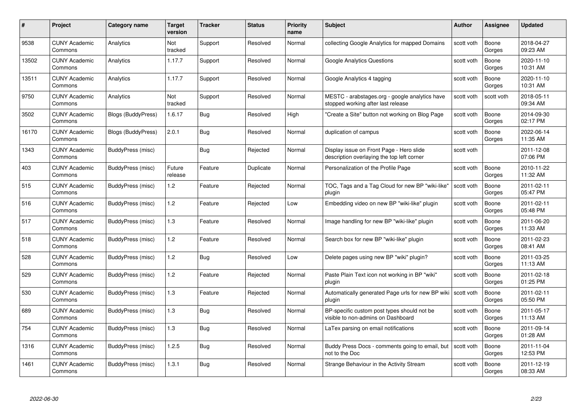| #     | Project                         | <b>Category name</b>      | Target<br>version | <b>Tracker</b> | <b>Status</b> | <b>Priority</b><br>name | <b>Subject</b>                                                                         | <b>Author</b> | <b>Assignee</b> | <b>Updated</b>         |
|-------|---------------------------------|---------------------------|-------------------|----------------|---------------|-------------------------|----------------------------------------------------------------------------------------|---------------|-----------------|------------------------|
| 9538  | <b>CUNY Academic</b><br>Commons | Analytics                 | Not<br>tracked    | Support        | Resolved      | Normal                  | collecting Google Analytics for mapped Domains                                         | scott voth    | Boone<br>Gorges | 2018-04-27<br>09:23 AM |
| 13502 | <b>CUNY Academic</b><br>Commons | Analytics                 | 1.17.7            | Support        | Resolved      | Normal                  | Google Analytics Questions                                                             | scott voth    | Boone<br>Gorges | 2020-11-10<br>10:31 AM |
| 13511 | <b>CUNY Academic</b><br>Commons | Analytics                 | 1.17.7            | Support        | Resolved      | Normal                  | Google Analytics 4 tagging                                                             | scott voth    | Boone<br>Gorges | 2020-11-10<br>10:31 AM |
| 9750  | <b>CUNY Academic</b><br>Commons | Analytics                 | Not<br>tracked    | Support        | Resolved      | Normal                  | MESTC - arabstages.org - google analytics have<br>stopped working after last release   | scott voth    | scott voth      | 2018-05-11<br>09:34 AM |
| 3502  | <b>CUNY Academic</b><br>Commons | <b>Blogs (BuddyPress)</b> | 1.6.17            | <b>Bug</b>     | Resolved      | High                    | "Create a Site" button not working on Blog Page                                        | scott voth    | Boone<br>Gorges | 2014-09-30<br>02:17 PM |
| 16170 | <b>CUNY Academic</b><br>Commons | Blogs (BuddyPress)        | 2.0.1             | <b>Bug</b>     | Resolved      | Normal                  | duplication of campus                                                                  | scott voth    | Boone<br>Gorges | 2022-06-14<br>11:35 AM |
| 1343  | <b>CUNY Academic</b><br>Commons | BuddyPress (misc)         |                   | <b>Bug</b>     | Rejected      | Normal                  | Display issue on Front Page - Hero slide<br>description overlaying the top left corner | scott voth    |                 | 2011-12-08<br>07:06 PM |
| 403   | <b>CUNY Academic</b><br>Commons | BuddyPress (misc)         | Future<br>release | Feature        | Duplicate     | Normal                  | Personalization of the Profile Page                                                    | scott voth    | Boone<br>Gorges | 2010-11-22<br>11:32 AM |
| 515   | <b>CUNY Academic</b><br>Commons | BuddyPress (misc)         | 1.2               | Feature        | Rejected      | Normal                  | TOC, Tags and a Tag Cloud for new BP "wiki-like"<br>plugin                             | scott voth    | Boone<br>Gorges | 2011-02-11<br>05:47 PM |
| 516   | <b>CUNY Academic</b><br>Commons | BuddyPress (misc)         | 1.2               | Feature        | Rejected      | Low                     | Embedding video on new BP "wiki-like" plugin                                           | scott voth    | Boone<br>Gorges | 2011-02-11<br>05:48 PM |
| 517   | <b>CUNY Academic</b><br>Commons | BuddyPress (misc)         | $1.3$             | Feature        | Resolved      | Normal                  | Image handling for new BP "wiki-like" plugin                                           | scott voth    | Boone<br>Gorges | 2011-06-20<br>11:33 AM |
| 518   | <b>CUNY Academic</b><br>Commons | BuddyPress (misc)         | 1.2               | Feature        | Resolved      | Normal                  | Search box for new BP "wiki-like" plugin                                               | scott voth    | Boone<br>Gorges | 2011-02-23<br>08:41 AM |
| 528   | <b>CUNY Academic</b><br>Commons | BuddyPress (misc)         | 1.2               | Bug            | Resolved      | Low                     | Delete pages using new BP "wiki" plugin?                                               | scott voth    | Boone<br>Gorges | 2011-03-25<br>11:13 AM |
| 529   | <b>CUNY Academic</b><br>Commons | BuddyPress (misc)         | 1.2               | Feature        | Rejected      | Normal                  | Paste Plain Text icon not working in BP "wiki"<br>plugin                               | scott voth    | Boone<br>Gorges | 2011-02-18<br>01:25 PM |
| 530   | <b>CUNY Academic</b><br>Commons | BuddyPress (misc)         | $1.3$             | Feature        | Rejected      | Normal                  | Automatically generated Page urls for new BP wiki   scott voth<br>plugin               |               | Boone<br>Gorges | 2011-02-11<br>05:50 PM |
| 689   | <b>CUNY Academic</b><br>Commons | BuddyPress (misc)         | 1.3               | <b>Bug</b>     | Resolved      | Normal                  | BP-specific custom post types should not be<br>visible to non-admins on Dashboard      | scott voth    | Boone<br>Gorges | 2011-05-17<br>11:13 AM |
| 754   | <b>CUNY Academic</b><br>Commons | BuddyPress (misc)         | 1.3               | Bug            | Resolved      | Normal                  | LaTex parsing on email notifications                                                   | scott voth    | Boone<br>Gorges | 2011-09-14<br>01:28 AM |
| 1316  | <b>CUNY Academic</b><br>Commons | BuddyPress (misc)         | 1.2.5             | <b>Bug</b>     | Resolved      | Normal                  | Buddy Press Docs - comments going to email, but<br>not to the Doc                      | scott voth    | Boone<br>Gorges | 2011-11-04<br>12:53 PM |
| 1461  | CUNY Academic<br>Commons        | BuddyPress (misc)         | 1.3.1             | <b>Bug</b>     | Resolved      | Normal                  | Strange Behaviour in the Activity Stream                                               | scott voth    | Boone<br>Gorges | 2011-12-19<br>08:33 AM |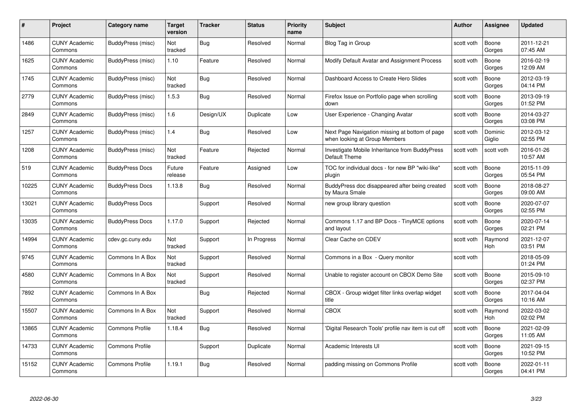| #     | Project                         | <b>Category name</b>   | Target<br>version | <b>Tracker</b> | <b>Status</b> | <b>Priority</b><br>name | <b>Subject</b>                                                                  | <b>Author</b> | <b>Assignee</b>       | <b>Updated</b>         |
|-------|---------------------------------|------------------------|-------------------|----------------|---------------|-------------------------|---------------------------------------------------------------------------------|---------------|-----------------------|------------------------|
| 1486  | <b>CUNY Academic</b><br>Commons | BuddyPress (misc)      | Not<br>tracked    | Bug            | Resolved      | Normal                  | Blog Tag in Group                                                               | scott voth    | Boone<br>Gorges       | 2011-12-21<br>07:45 AM |
| 1625  | <b>CUNY Academic</b><br>Commons | BuddyPress (misc)      | 1.10              | Feature        | Resolved      | Normal                  | Modify Default Avatar and Assignment Process                                    | scott voth    | Boone<br>Gorges       | 2016-02-19<br>12:09 AM |
| 1745  | <b>CUNY Academic</b><br>Commons | BuddyPress (misc)      | Not<br>tracked    | Bug            | Resolved      | Normal                  | Dashboard Access to Create Hero Slides                                          | scott voth    | Boone<br>Gorges       | 2012-03-19<br>04:14 PM |
| 2779  | <b>CUNY Academic</b><br>Commons | BuddyPress (misc)      | 1.5.3             | Bug            | Resolved      | Normal                  | Firefox Issue on Portfolio page when scrolling<br>down                          | scott voth    | Boone<br>Gorges       | 2013-09-19<br>01:52 PM |
| 2849  | <b>CUNY Academic</b><br>Commons | BuddyPress (misc)      | 1.6               | Design/UX      | Duplicate     | Low                     | User Experience - Changing Avatar                                               | scott voth    | Boone<br>Gorges       | 2014-03-27<br>03:08 PM |
| 1257  | <b>CUNY Academic</b><br>Commons | BuddyPress (misc)      | 1.4               | Bug            | Resolved      | Low                     | Next Page Navigation missing at bottom of page<br>when looking at Group Members | scott voth    | Dominic<br>Giglio     | 2012-03-12<br>02:55 PM |
| 1208  | <b>CUNY Academic</b><br>Commons | BuddyPress (misc)      | Not<br>tracked    | Feature        | Rejected      | Normal                  | Investigate Mobile Inheritance from BuddyPress<br>Default Theme                 | scott voth    | scott voth            | 2016-01-26<br>10:57 AM |
| 519   | <b>CUNY Academic</b><br>Commons | <b>BuddyPress Docs</b> | Future<br>release | Feature        | Assigned      | Low                     | TOC for individual docs - for new BP "wiki-like"<br>plugin                      | scott voth    | Boone<br>Gorges       | 2015-11-09<br>05:54 PM |
| 10225 | <b>CUNY Academic</b><br>Commons | <b>BuddyPress Docs</b> | 1.13.8            | Bug            | Resolved      | Normal                  | BuddyPress doc disappeared after being created<br>by Maura Smale                | scott voth    | Boone<br>Gorges       | 2018-08-27<br>09:00 AM |
| 13021 | <b>CUNY Academic</b><br>Commons | <b>BuddyPress Docs</b> |                   | Support        | Resolved      | Normal                  | new group library question                                                      | scott voth    | Boone<br>Gorges       | 2020-07-07<br>02:55 PM |
| 13035 | CUNY Academic<br>Commons        | <b>BuddyPress Docs</b> | 1.17.0            | Support        | Rejected      | Normal                  | Commons 1.17 and BP Docs - TinyMCE options<br>and layout                        | scott voth    | Boone<br>Gorges       | 2020-07-14<br>02:21 PM |
| 14994 | <b>CUNY Academic</b><br>Commons | cdev.gc.cuny.edu       | Not<br>tracked    | Support        | In Progress   | Normal                  | Clear Cache on CDEV                                                             | scott voth    | Raymond<br>Hoh        | 2021-12-07<br>03:51 PM |
| 9745  | <b>CUNY Academic</b><br>Commons | Commons In A Box       | Not<br>tracked    | Support        | Resolved      | Normal                  | Commons in a Box - Query monitor                                                | scott voth    |                       | 2018-05-09<br>01:24 PM |
| 4580  | <b>CUNY Academic</b><br>Commons | Commons In A Box       | Not<br>tracked    | Support        | Resolved      | Normal                  | Unable to register account on CBOX Demo Site                                    | scott voth    | Boone<br>Gorges       | 2015-09-10<br>02:37 PM |
| 7892  | <b>CUNY Academic</b><br>Commons | Commons In A Box       |                   | Bug            | Rejected      | Normal                  | CBOX - Group widget filter links overlap widget<br>title                        | scott voth    | Boone<br>Gorges       | 2017-04-04<br>10:16 AM |
| 15507 | <b>CUNY Academic</b><br>Commons | Commons In A Box       | Not<br>tracked    | Support        | Resolved      | Normal                  | <b>CBOX</b>                                                                     | scott voth    | Raymond<br><b>Hoh</b> | 2022-03-02<br>02:02 PM |
| 13865 | <b>CUNY Academic</b><br>Commons | <b>Commons Profile</b> | 1.18.4            | Bug            | Resolved      | Normal                  | 'Digital Research Tools' profile nav item is cut off                            | scott voth    | Boone<br>Gorges       | 2021-02-09<br>11:05 AM |
| 14733 | <b>CUNY Academic</b><br>Commons | <b>Commons Profile</b> |                   | Support        | Duplicate     | Normal                  | Academic Interests UI                                                           | scott voth    | Boone<br>Gorges       | 2021-09-15<br>10:52 PM |
| 15152 | <b>CUNY Academic</b><br>Commons | <b>Commons Profile</b> | 1.19.1            | Bug            | Resolved      | Normal                  | padding missing on Commons Profile                                              | scott voth    | Boone<br>Gorges       | 2022-01-11<br>04:41 PM |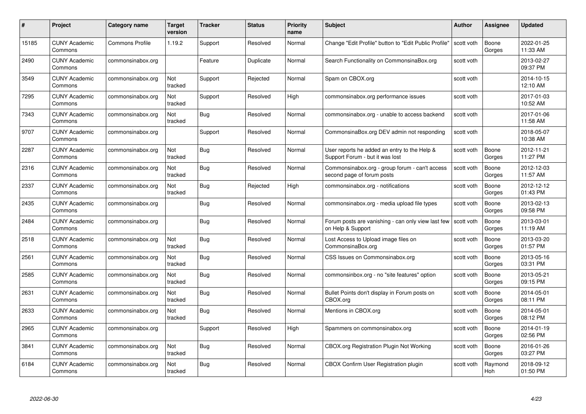| #     | Project                         | Category name          | Target<br>version | <b>Tracker</b> | <b>Status</b> | <b>Priority</b><br>name | <b>Subject</b>                                                                  | Author     | <b>Assignee</b> | <b>Updated</b>         |
|-------|---------------------------------|------------------------|-------------------|----------------|---------------|-------------------------|---------------------------------------------------------------------------------|------------|-----------------|------------------------|
| 15185 | <b>CUNY Academic</b><br>Commons | <b>Commons Profile</b> | 1.19.2            | Support        | Resolved      | Normal                  | Change "Edit Profile" button to "Edit Public Profile"                           | scott voth | Boone<br>Gorges | 2022-01-25<br>11:33 AM |
| 2490  | <b>CUNY Academic</b><br>Commons | commonsinabox.org      |                   | Feature        | Duplicate     | Normal                  | Search Functionality on CommonsinaBox.org                                       | scott voth |                 | 2013-02-27<br>09:37 PM |
| 3549  | <b>CUNY Academic</b><br>Commons | commonsinabox.org      | Not<br>tracked    | Support        | Rejected      | Normal                  | Spam on CBOX.org                                                                | scott voth |                 | 2014-10-15<br>12:10 AM |
| 7295  | <b>CUNY Academic</b><br>Commons | commonsinabox.org      | Not<br>tracked    | Support        | Resolved      | High                    | commonsinabox.org performance issues                                            | scott voth |                 | 2017-01-03<br>10:52 AM |
| 7343  | <b>CUNY Academic</b><br>Commons | commonsinabox.org      | Not<br>tracked    | Bug            | Resolved      | Normal                  | commonsinabox.org - unable to access backend                                    | scott voth |                 | 2017-01-06<br>11:58 AM |
| 9707  | <b>CUNY Academic</b><br>Commons | commonsinabox.org      |                   | Support        | Resolved      | Normal                  | CommonsinaBox.org DEV admin not responding                                      | scott voth |                 | 2018-05-07<br>10:38 AM |
| 2287  | <b>CUNY Academic</b><br>Commons | commonsinabox.org      | Not<br>tracked    | Bug            | Resolved      | Normal                  | User reports he added an entry to the Help &<br>Support Forum - but it was lost | scott voth | Boone<br>Gorges | 2012-11-21<br>11:27 PM |
| 2316  | <b>CUNY Academic</b><br>Commons | commonsinabox.org      | Not<br>tracked    | Bug            | Resolved      | Normal                  | Commonsinabox.org - group forum - can't access<br>second page of forum posts    | scott voth | Boone<br>Gorges | 2012-12-03<br>11:57 AM |
| 2337  | <b>CUNY Academic</b><br>Commons | commonsinabox.org      | Not<br>tracked    | Bug            | Rejected      | High                    | commonsinabox.org - notifications                                               | scott voth | Boone<br>Gorges | 2012-12-12<br>01:43 PM |
| 2435  | <b>CUNY Academic</b><br>Commons | commonsinabox.org      |                   | <b>Bug</b>     | Resolved      | Normal                  | commonsinabox.org - media upload file types                                     | scott voth | Boone<br>Gorges | 2013-02-13<br>09:58 PM |
| 2484  | <b>CUNY Academic</b><br>Commons | commonsinabox.org      |                   | Bug            | Resolved      | Normal                  | Forum posts are vanishing - can only view last few<br>on Help & Support         | scott voth | Boone<br>Gorges | 2013-03-01<br>11:19 AM |
| 2518  | <b>CUNY Academic</b><br>Commons | commonsinabox.org      | Not<br>tracked    | Bug            | Resolved      | Normal                  | Lost Access to Upload image files on<br>CommonsinaBox.org                       | scott voth | Boone<br>Gorges | 2013-03-20<br>01:57 PM |
| 2561  | <b>CUNY Academic</b><br>Commons | commonsinabox.org      | Not<br>tracked    | <b>Bug</b>     | Resolved      | Normal                  | CSS Issues on Commonsinabox.org                                                 | scott voth | Boone<br>Gorges | 2013-05-16<br>03:31 PM |
| 2585  | <b>CUNY Academic</b><br>Commons | commonsinabox.org      | Not<br>tracked    | <b>Bug</b>     | Resolved      | Normal                  | commonsinbox.org - no "site features" option                                    | scott voth | Boone<br>Gorges | 2013-05-21<br>09:15 PM |
| 2631  | <b>CUNY Academic</b><br>Commons | commonsinabox.org      | Not<br>tracked    | Bug            | Resolved      | Normal                  | Bullet Points don't display in Forum posts on<br>CBOX.org                       | scott voth | Boone<br>Gorges | 2014-05-01<br>08:11 PM |
| 2633  | <b>CUNY Academic</b><br>Commons | commonsinabox.org      | Not<br>tracked    | <b>Bug</b>     | Resolved      | Normal                  | Mentions in CBOX.org                                                            | scott voth | Boone<br>Gorges | 2014-05-01<br>08:12 PM |
| 2965  | <b>CUNY Academic</b><br>Commons | commonsinabox.org      |                   | Support        | Resolved      | High                    | Spammers on commonsinabox.org                                                   | scott voth | Boone<br>Gorges | 2014-01-19<br>02:56 PM |
| 3841  | <b>CUNY Academic</b><br>Commons | commonsinabox.org      | Not<br>tracked    | <b>Bug</b>     | Resolved      | Normal                  | <b>CBOX.org Registration Plugin Not Working</b>                                 | scott voth | Boone<br>Gorges | 2016-01-26<br>03:27 PM |
| 6184  | CUNY Academic<br>Commons        | commonsinabox.org      | Not<br>tracked    | Bug            | Resolved      | Normal                  | CBOX Confirm User Registration plugin                                           | scott voth | Raymond<br>Hoh  | 2018-09-12<br>01:50 PM |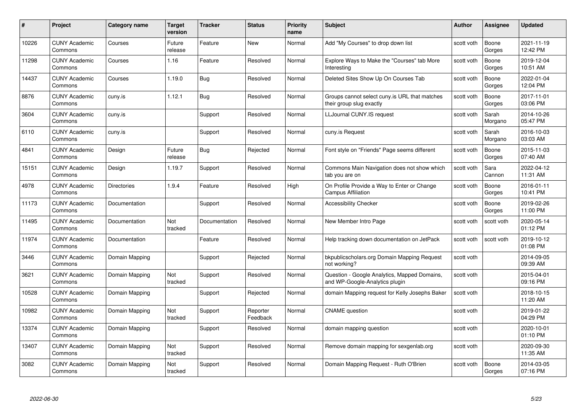| #     | Project                         | Category name      | <b>Target</b><br>version | <b>Tracker</b> | <b>Status</b>        | <b>Priority</b><br>name | <b>Subject</b>                                                                 | <b>Author</b> | Assignee         | <b>Updated</b>         |
|-------|---------------------------------|--------------------|--------------------------|----------------|----------------------|-------------------------|--------------------------------------------------------------------------------|---------------|------------------|------------------------|
| 10226 | <b>CUNY Academic</b><br>Commons | Courses            | Future<br>release        | Feature        | <b>New</b>           | Normal                  | Add "My Courses" to drop down list                                             | scott voth    | Boone<br>Gorges  | 2021-11-19<br>12:42 PM |
| 11298 | <b>CUNY Academic</b><br>Commons | Courses            | 1.16                     | Feature        | Resolved             | Normal                  | Explore Ways to Make the "Courses" tab More<br>Interesting                     | scott voth    | Boone<br>Gorges  | 2019-12-04<br>10:51 AM |
| 14437 | <b>CUNY Academic</b><br>Commons | Courses            | 1.19.0                   | <b>Bug</b>     | Resolved             | Normal                  | Deleted Sites Show Up On Courses Tab                                           | scott voth    | Boone<br>Gorges  | 2022-01-04<br>12:04 PM |
| 8876  | <b>CUNY Academic</b><br>Commons | cuny.is            | 1.12.1                   | Bug            | Resolved             | Normal                  | Groups cannot select cuny is URL that matches<br>their group slug exactly      | scott voth    | Boone<br>Gorges  | 2017-11-01<br>03:06 PM |
| 3604  | <b>CUNY Academic</b><br>Commons | cuny.is            |                          | Support        | Resolved             | Normal                  | LLJournal CUNY.IS request                                                      | scott voth    | Sarah<br>Morgano | 2014-10-26<br>05:47 PM |
| 6110  | <b>CUNY Academic</b><br>Commons | cuny.is            |                          | Support        | Resolved             | Normal                  | cuny.is Request                                                                | scott voth    | Sarah<br>Morgano | 2016-10-03<br>03:03 AM |
| 4841  | <b>CUNY Academic</b><br>Commons | Design             | Future<br>release        | <b>Bug</b>     | Rejected             | Normal                  | Font style on "Friends" Page seems different                                   | scott voth    | Boone<br>Gorges  | 2015-11-03<br>07:40 AM |
| 15151 | <b>CUNY Academic</b><br>Commons | Design             | 1.19.7                   | Support        | Resolved             | Normal                  | Commons Main Navigation does not show which<br>tab you are on                  | scott voth    | Sara<br>Cannon   | 2022-04-12<br>11:31 AM |
| 4978  | <b>CUNY Academic</b><br>Commons | <b>Directories</b> | 1.9.4                    | Feature        | Resolved             | High                    | On Profile Provide a Way to Enter or Change<br><b>Campus Affiliation</b>       | scott voth    | Boone<br>Gorges  | 2016-01-11<br>10:41 PM |
| 11173 | <b>CUNY Academic</b><br>Commons | Documentation      |                          | Support        | Resolved             | Normal                  | <b>Accessibility Checker</b>                                                   | scott voth    | Boone<br>Gorges  | 2019-02-26<br>11:00 PM |
| 11495 | <b>CUNY Academic</b><br>Commons | Documentation      | Not<br>tracked           | Documentation  | Resolved             | Normal                  | New Member Intro Page                                                          | scott voth    | scott voth       | 2020-05-14<br>01:12 PM |
| 11974 | <b>CUNY Academic</b><br>Commons | Documentation      |                          | Feature        | Resolved             | Normal                  | Help tracking down documentation on JetPack                                    | scott voth    | scott voth       | 2019-10-12<br>01:08 PM |
| 3446  | <b>CUNY Academic</b><br>Commons | Domain Mapping     |                          | Support        | Rejected             | Normal                  | bkpublicscholars.org Domain Mapping Request<br>not working?                    | scott voth    |                  | 2014-09-05<br>09:39 AM |
| 3621  | <b>CUNY Academic</b><br>Commons | Domain Mapping     | Not<br>tracked           | Support        | Resolved             | Normal                  | Question - Google Analytics, Mapped Domains,<br>and WP-Google-Analytics plugin | scott voth    |                  | 2015-04-01<br>09:16 PM |
| 10528 | <b>CUNY Academic</b><br>Commons | Domain Mapping     |                          | Support        | Rejected             | Normal                  | domain Mapping request for Kelly Josephs Baker                                 | scott voth    |                  | 2018-10-15<br>11:20 AM |
| 10982 | <b>CUNY Academic</b><br>Commons | Domain Mapping     | Not<br>tracked           | Support        | Reporter<br>Feedback | Normal                  | <b>CNAME</b> question                                                          | scott voth    |                  | 2019-01-22<br>04:29 PM |
| 13374 | <b>CUNY Academic</b><br>Commons | Domain Mapping     |                          | Support        | Resolved             | Normal                  | domain mapping question                                                        | scott voth    |                  | 2020-10-01<br>01:10 PM |
| 13407 | <b>CUNY Academic</b><br>Commons | Domain Mapping     | Not<br>tracked           | Support        | Resolved             | Normal                  | Remove domain mapping for sexgenlab.org                                        | scott voth    |                  | 2020-09-30<br>11:35 AM |
| 3082  | <b>CUNY Academic</b><br>Commons | Domain Mapping     | Not<br>tracked           | Support        | Resolved             | Normal                  | Domain Mapping Request - Ruth O'Brien                                          | scott voth    | Boone<br>Gorges  | 2014-03-05<br>07:16 PM |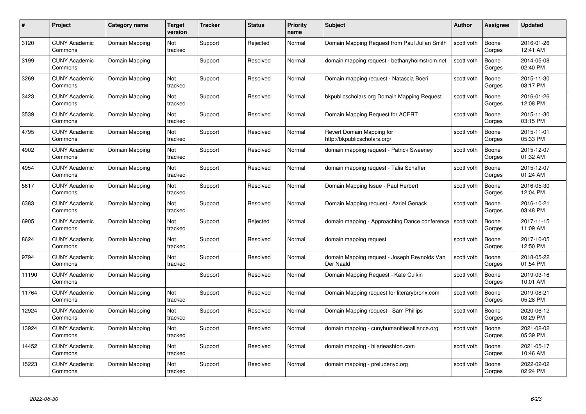| #     | Project                         | <b>Category name</b> | Target<br>version | <b>Tracker</b> | <b>Status</b> | <b>Priority</b><br>name | <b>Subject</b>                                            | <b>Author</b> | <b>Assignee</b> | <b>Updated</b>         |
|-------|---------------------------------|----------------------|-------------------|----------------|---------------|-------------------------|-----------------------------------------------------------|---------------|-----------------|------------------------|
| 3120  | <b>CUNY Academic</b><br>Commons | Domain Mapping       | Not<br>tracked    | Support        | Rejected      | Normal                  | Domain Mapping Request from Paul Julian Smith             | scott voth    | Boone<br>Gorges | 2016-01-26<br>12:41 AM |
| 3199  | <b>CUNY Academic</b><br>Commons | Domain Mapping       |                   | Support        | Resolved      | Normal                  | domain mapping request - bethanyholmstrom.net             | scott voth    | Boone<br>Gorges | 2014-05-08<br>02:40 PM |
| 3269  | <b>CUNY Academic</b><br>Commons | Domain Mapping       | Not<br>tracked    | Support        | Resolved      | Normal                  | Domain mapping request - Natascia Boeri                   | scott voth    | Boone<br>Gorges | 2015-11-30<br>03:17 PM |
| 3423  | <b>CUNY Academic</b><br>Commons | Domain Mapping       | Not<br>tracked    | Support        | Resolved      | Normal                  | bkpublicscholars.org Domain Mapping Request               | scott voth    | Boone<br>Gorges | 2016-01-26<br>12:08 PM |
| 3539  | CUNY Academic<br>Commons        | Domain Mapping       | Not<br>tracked    | Support        | Resolved      | Normal                  | Domain Mapping Request for ACERT                          | scott voth    | Boone<br>Gorges | 2015-11-30<br>03:15 PM |
| 4795  | <b>CUNY Academic</b><br>Commons | Domain Mapping       | Not<br>tracked    | Support        | Resolved      | Normal                  | Revert Domain Mapping for<br>http://bkpublicscholars.org/ | scott voth    | Boone<br>Gorges | 2015-11-01<br>05:33 PM |
| 4902  | <b>CUNY Academic</b><br>Commons | Domain Mapping       | Not<br>tracked    | Support        | Resolved      | Normal                  | domain mapping reguest - Patrick Sweeney                  | scott voth    | Boone<br>Gorges | 2015-12-07<br>01:32 AM |
| 4954  | <b>CUNY Academic</b><br>Commons | Domain Mapping       | Not<br>tracked    | Support        | Resolved      | Normal                  | domain mapping request - Talia Schaffer                   | scott voth    | Boone<br>Gorges | 2015-12-07<br>01:24 AM |
| 5617  | <b>CUNY Academic</b><br>Commons | Domain Mapping       | Not<br>tracked    | Support        | Resolved      | Normal                  | Domain Mapping Issue - Paul Herbert                       | scott voth    | Boone<br>Gorges | 2016-05-30<br>12:04 PM |
| 6383  | <b>CUNY Academic</b><br>Commons | Domain Mapping       | Not<br>tracked    | Support        | Resolved      | Normal                  | Domain Mapping request - Azriel Genack                    | scott voth    | Boone<br>Gorges | 2016-10-21<br>03:48 PM |
| 6905  | CUNY Academic<br>Commons        | Domain Mapping       | Not<br>tracked    | Support        | Rejected      | Normal                  | domain mapping - Approaching Dance conference             | scott voth    | Boone<br>Gorges | 2017-11-15<br>11:09 AM |
| 8624  | <b>CUNY Academic</b><br>Commons | Domain Mapping       | Not<br>tracked    | Support        | Resolved      | Normal                  | domain mapping request                                    | scott voth    | Boone<br>Gorges | 2017-10-05<br>12:50 PM |
| 9794  | <b>CUNY Academic</b><br>Commons | Domain Mapping       | Not<br>tracked    | Support        | Resolved      | Normal                  | domain Mapping request - Joseph Reynolds Van<br>Der Naald | scott voth    | Boone<br>Gorges | 2018-05-22<br>01:54 PM |
| 11190 | <b>CUNY Academic</b><br>Commons | Domain Mapping       |                   | Support        | Resolved      | Normal                  | Domain Mapping Request - Kate Culkin                      | scott voth    | Boone<br>Gorges | 2019-03-16<br>10:01 AM |
| 11764 | <b>CUNY Academic</b><br>Commons | Domain Mapping       | Not<br>tracked    | Support        | Resolved      | Normal                  | Domain Mapping request for literarybronx.com              | scott voth    | Boone<br>Gorges | 2019-08-21<br>05:28 PM |
| 12924 | <b>CUNY Academic</b><br>Commons | Domain Mapping       | Not<br>tracked    | Support        | Resolved      | Normal                  | Domain Mapping request - Sam Phillips                     | scott voth    | Boone<br>Gorges | 2020-06-12<br>03:29 PM |
| 13924 | <b>CUNY Academic</b><br>Commons | Domain Mapping       | Not<br>tracked    | Support        | Resolved      | Normal                  | domain mapping - cunyhumanitiesalliance.org               | scott voth    | Boone<br>Gorges | 2021-02-02<br>05:39 PM |
| 14452 | <b>CUNY Academic</b><br>Commons | Domain Mapping       | Not<br>tracked    | Support        | Resolved      | Normal                  | domain mapping - hilarieashton.com                        | scott voth    | Boone<br>Gorges | 2021-05-17<br>10:46 AM |
| 15223 | CUNY Academic<br>Commons        | Domain Mapping       | Not<br>tracked    | Support        | Resolved      | Normal                  | domain mapping - preludenyc.org                           | scott voth    | Boone<br>Gorges | 2022-02-02<br>02:24 PM |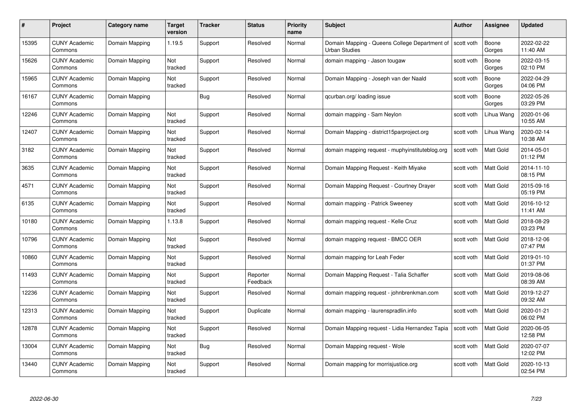| #     | Project                         | <b>Category name</b> | <b>Target</b><br>version | <b>Tracker</b> | <b>Status</b>        | <b>Priority</b><br>name | <b>Subject</b>                                                                     | <b>Author</b> | <b>Assignee</b>  | <b>Updated</b>         |
|-------|---------------------------------|----------------------|--------------------------|----------------|----------------------|-------------------------|------------------------------------------------------------------------------------|---------------|------------------|------------------------|
| 15395 | <b>CUNY Academic</b><br>Commons | Domain Mapping       | 1.19.5                   | Support        | Resolved             | Normal                  | Domain Mapping - Queens College Department of   scott voth<br><b>Urban Studies</b> |               | Boone<br>Gorges  | 2022-02-22<br>11:40 AM |
| 15626 | <b>CUNY Academic</b><br>Commons | Domain Mapping       | Not<br>tracked           | Support        | Resolved             | Normal                  | domain mapping - Jason tougaw                                                      | scott voth    | Boone<br>Gorges  | 2022-03-15<br>02:10 PM |
| 15965 | <b>CUNY Academic</b><br>Commons | Domain Mapping       | Not<br>tracked           | Support        | Resolved             | Normal                  | Domain Mapping - Joseph van der Naald                                              | scott voth    | Boone<br>Gorges  | 2022-04-29<br>04:06 PM |
| 16167 | <b>CUNY Academic</b><br>Commons | Domain Mapping       |                          | <b>Bug</b>     | Resolved             | Normal                  | qcurban.org/loading issue                                                          | scott voth    | Boone<br>Gorges  | 2022-05-26<br>03:29 PM |
| 12246 | <b>CUNY Academic</b><br>Commons | Domain Mapping       | Not<br>tracked           | Support        | Resolved             | Normal                  | domain mapping - Sam Neylon                                                        | scott voth    | Lihua Wang       | 2020-01-06<br>10:55 AM |
| 12407 | <b>CUNY Academic</b><br>Commons | Domain Mapping       | Not<br>tracked           | Support        | Resolved             | Normal                  | Domain Mapping - district15parproject.org                                          | scott voth    | Lihua Wang       | 2020-02-14<br>10:38 AM |
| 3182  | <b>CUNY Academic</b><br>Commons | Domain Mapping       | Not<br>tracked           | Support        | Resolved             | Normal                  | domain mapping request - muphyinstituteblog.org                                    | scott voth    | Matt Gold        | 2014-05-01<br>01:12 PM |
| 3635  | <b>CUNY Academic</b><br>Commons | Domain Mapping       | Not<br>tracked           | Support        | Resolved             | Normal                  | Domain Mapping Request - Keith Miyake                                              | scott voth    | Matt Gold        | 2014-11-10<br>08:15 PM |
| 4571  | <b>CUNY Academic</b><br>Commons | Domain Mapping       | Not<br>tracked           | Support        | Resolved             | Normal                  | Domain Mapping Request - Courtney Drayer                                           | scott voth    | <b>Matt Gold</b> | 2015-09-16<br>05:19 PM |
| 6135  | <b>CUNY Academic</b><br>Commons | Domain Mapping       | Not<br>tracked           | Support        | Resolved             | Normal                  | domain mapping - Patrick Sweeney                                                   | scott voth    | Matt Gold        | 2016-10-12<br>11:41 AM |
| 10180 | <b>CUNY Academic</b><br>Commons | Domain Mapping       | 1.13.8                   | Support        | Resolved             | Normal                  | domain mapping request - Kelle Cruz                                                | scott voth    | Matt Gold        | 2018-08-29<br>03:23 PM |
| 10796 | <b>CUNY Academic</b><br>Commons | Domain Mapping       | Not<br>tracked           | Support        | Resolved             | Normal                  | domain mapping request - BMCC OER                                                  | scott voth    | Matt Gold        | 2018-12-06<br>07:47 PM |
| 10860 | <b>CUNY Academic</b><br>Commons | Domain Mapping       | Not<br>tracked           | Support        | Resolved             | Normal                  | domain mapping for Leah Feder                                                      | scott voth    | <b>Matt Gold</b> | 2019-01-10<br>01:37 PM |
| 11493 | <b>CUNY Academic</b><br>Commons | Domain Mapping       | Not<br>tracked           | Support        | Reporter<br>Feedback | Normal                  | Domain Mapping Request - Talia Schaffer                                            | scott voth    | Matt Gold        | 2019-08-06<br>08:39 AM |
| 12236 | <b>CUNY Academic</b><br>Commons | Domain Mapping       | Not<br>tracked           | Support        | Resolved             | Normal                  | domain mapping request - johnbrenkman.com                                          | scott voth    | Matt Gold        | 2019-12-27<br>09:32 AM |
| 12313 | <b>CUNY Academic</b><br>Commons | Domain Mapping       | Not<br>tracked           | Support        | Duplicate            | Normal                  | domain mapping - laurenspradlin.info                                               | scott voth    | Matt Gold        | 2020-01-21<br>06:02 PM |
| 12878 | <b>CUNY Academic</b><br>Commons | Domain Mapping       | Not<br>tracked           | Support        | Resolved             | Normal                  | Domain Mapping request - Lidia Hernandez Tapia                                     | scott voth    | Matt Gold        | 2020-06-05<br>12:58 PM |
| 13004 | <b>CUNY Academic</b><br>Commons | Domain Mapping       | Not<br>tracked           | Bug            | Resolved             | Normal                  | Domain Mapping request - Wole                                                      | scott voth    | Matt Gold        | 2020-07-07<br>12:02 PM |
| 13440 | CUNY Academic<br>Commons        | Domain Mapping       | Not<br>tracked           | Support        | Resolved             | Normal                  | Domain mapping for morrisjustice.org                                               | scott voth    | Matt Gold        | 2020-10-13<br>02:54 PM |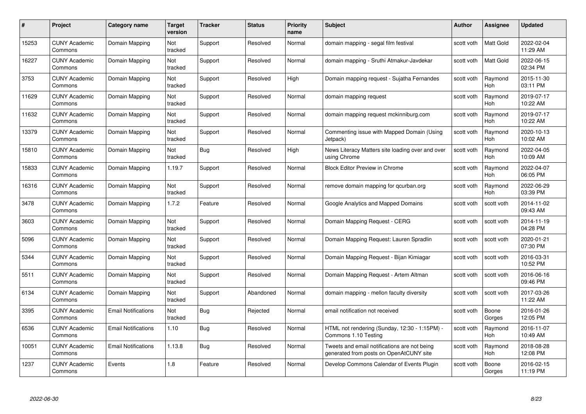| #     | Project                         | Category name              | Target<br>version | <b>Tracker</b> | <b>Status</b> | <b>Priority</b><br>name | <b>Subject</b>                                                                          | <b>Author</b> | <b>Assignee</b>       | <b>Updated</b>         |
|-------|---------------------------------|----------------------------|-------------------|----------------|---------------|-------------------------|-----------------------------------------------------------------------------------------|---------------|-----------------------|------------------------|
| 15253 | <b>CUNY Academic</b><br>Commons | Domain Mapping             | Not<br>tracked    | Support        | Resolved      | Normal                  | domain mapping - segal film festival                                                    | scott voth    | <b>Matt Gold</b>      | 2022-02-04<br>11:29 AM |
| 16227 | <b>CUNY Academic</b><br>Commons | Domain Mapping             | Not<br>tracked    | Support        | Resolved      | Normal                  | domain mapping - Sruthi Atmakur-Javdekar                                                | scott voth    | Matt Gold             | 2022-06-15<br>02:34 PM |
| 3753  | <b>CUNY Academic</b><br>Commons | Domain Mapping             | Not<br>tracked    | Support        | Resolved      | High                    | Domain mapping request - Sujatha Fernandes                                              | scott voth    | Raymond<br>Hoh        | 2015-11-30<br>03:11 PM |
| 11629 | <b>CUNY Academic</b><br>Commons | Domain Mapping             | Not<br>tracked    | Support        | Resolved      | Normal                  | domain mapping request                                                                  | scott voth    | Raymond<br><b>Hoh</b> | 2019-07-17<br>10:22 AM |
| 11632 | <b>CUNY Academic</b><br>Commons | Domain Mapping             | Not<br>tracked    | Support        | Resolved      | Normal                  | domain mapping request mckinniburg.com                                                  | scott voth    | Raymond<br>Hoh        | 2019-07-17<br>10:22 AM |
| 13379 | <b>CUNY Academic</b><br>Commons | Domain Mapping             | Not<br>tracked    | Support        | Resolved      | Normal                  | Commenting issue with Mapped Domain (Using<br>Jetpack)                                  | scott voth    | Raymond<br>Hoh        | 2020-10-13<br>10:02 AM |
| 15810 | <b>CUNY Academic</b><br>Commons | Domain Mapping             | Not<br>tracked    | Bug            | Resolved      | High                    | News Literacy Matters site loading over and over<br>using Chrome                        | scott voth    | Raymond<br>Hoh        | 2022-04-05<br>10:09 AM |
| 15833 | <b>CUNY Academic</b><br>Commons | Domain Mapping             | 1.19.7            | Support        | Resolved      | Normal                  | <b>Block Editor Preview in Chrome</b>                                                   | scott voth    | Raymond<br>Hoh        | 2022-04-07<br>06:05 PM |
| 16316 | <b>CUNY Academic</b><br>Commons | Domain Mapping             | Not<br>tracked    | Support        | Resolved      | Normal                  | remove domain mapping for gcurban.org                                                   | scott voth    | Raymond<br>Hoh        | 2022-06-29<br>03:39 PM |
| 3478  | <b>CUNY Academic</b><br>Commons | Domain Mapping             | 1.7.2             | Feature        | Resolved      | Normal                  | Google Analytics and Mapped Domains                                                     | scott voth    | scott voth            | 2014-11-02<br>09:43 AM |
| 3603  | <b>CUNY Academic</b><br>Commons | Domain Mapping             | Not<br>tracked    | Support        | Resolved      | Normal                  | Domain Mapping Request - CERG                                                           | scott voth    | scott voth            | 2014-11-19<br>04:28 PM |
| 5096  | <b>CUNY Academic</b><br>Commons | Domain Mapping             | Not<br>tracked    | Support        | Resolved      | Normal                  | Domain Mapping Request: Lauren Spradlin                                                 | scott voth    | scott voth            | 2020-01-21<br>07:30 PM |
| 5344  | <b>CUNY Academic</b><br>Commons | Domain Mapping             | Not<br>tracked    | Support        | Resolved      | Normal                  | Domain Mapping Request - Bijan Kimiagar                                                 | scott voth    | scott voth            | 2016-03-31<br>10:52 PM |
| 5511  | <b>CUNY Academic</b><br>Commons | Domain Mapping             | Not<br>tracked    | Support        | Resolved      | Normal                  | Domain Mapping Request - Artem Altman                                                   | scott voth    | scott voth            | 2016-06-16<br>09:46 PM |
| 6134  | <b>CUNY Academic</b><br>Commons | Domain Mapping             | Not<br>tracked    | Support        | Abandoned     | Normal                  | domain mapping - mellon faculty diversity                                               | scott voth    | scott voth            | 2017-03-26<br>11:22 AM |
| 3395  | <b>CUNY Academic</b><br>Commons | <b>Email Notifications</b> | Not<br>tracked    | Bug            | Rejected      | Normal                  | email notification not received                                                         | scott voth    | Boone<br>Gorges       | 2016-01-26<br>12:05 PM |
| 6536  | <b>CUNY Academic</b><br>Commons | <b>Email Notifications</b> | 1.10              | Bug            | Resolved      | Normal                  | HTML not rendering (Sunday, 12:30 - 1:15PM) -<br>Commons 1.10 Testing                   | scott voth    | Raymond<br>Hoh        | 2016-11-07<br>10:49 AM |
| 10051 | <b>CUNY Academic</b><br>Commons | <b>Email Notifications</b> | 1.13.8            | <b>Bug</b>     | Resolved      | Normal                  | Tweets and email notifications are not being<br>generated from posts on OpenAtCUNY site | scott voth    | Raymond<br>Hoh        | 2018-08-28<br>12:08 PM |
| 1237  | <b>CUNY Academic</b><br>Commons | Events                     | 1.8               | Feature        | Resolved      | Normal                  | Develop Commons Calendar of Events Plugin                                               | scott voth    | Boone<br>Gorges       | 2016-02-15<br>11:19 PM |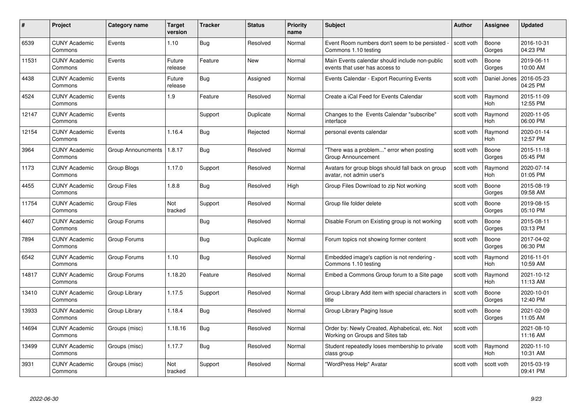| #     | Project                         | Category name      | <b>Target</b><br>version | <b>Tracker</b> | <b>Status</b> | <b>Priority</b><br>name | <b>Subject</b>                                                                     | <b>Author</b> | Assignee              | <b>Updated</b>         |
|-------|---------------------------------|--------------------|--------------------------|----------------|---------------|-------------------------|------------------------------------------------------------------------------------|---------------|-----------------------|------------------------|
| 6539  | <b>CUNY Academic</b><br>Commons | Events             | 1.10                     | <b>Bug</b>     | Resolved      | Normal                  | Event Room numbers don't seem to be persisted<br>Commons 1.10 testing              | scott voth    | Boone<br>Gorges       | 2016-10-31<br>04:23 PM |
| 11531 | <b>CUNY Academic</b><br>Commons | Events             | Future<br>release        | Feature        | New           | Normal                  | Main Events calendar should include non-public<br>events that user has access to   | scott voth    | Boone<br>Gorges       | 2019-06-11<br>10:00 AM |
| 4438  | <b>CUNY Academic</b><br>Commons | Events             | Future<br>release        | <b>Bug</b>     | Assigned      | Normal                  | Events Calendar - Export Recurring Events                                          | scott voth    | Daniel Jones          | 2016-05-23<br>04:25 PM |
| 4524  | <b>CUNY Academic</b><br>Commons | Events             | 1.9                      | Feature        | Resolved      | Normal                  | Create a iCal Feed for Events Calendar                                             | scott voth    | Raymond<br>Hoh        | 2015-11-09<br>12:55 PM |
| 12147 | <b>CUNY Academic</b><br>Commons | Events             |                          | Support        | Duplicate     | Normal                  | Changes to the Events Calendar "subscribe"<br>interface                            | scott voth    | Raymond<br><b>Hoh</b> | 2020-11-05<br>06:00 PM |
| 12154 | <b>CUNY Academic</b><br>Commons | Events             | 1.16.4                   | <b>Bug</b>     | Rejected      | Normal                  | personal events calendar                                                           | scott voth    | Raymond<br>Hoh        | 2020-01-14<br>12:57 PM |
| 3964  | <b>CUNY Academic</b><br>Commons | Group Announcments | 1.8.17                   | Bug            | Resolved      | Normal                  | "There was a problem" error when posting<br>Group Announcement                     | scott voth    | Boone<br>Gorges       | 2015-11-18<br>05:45 PM |
| 1173  | <b>CUNY Academic</b><br>Commons | Group Blogs        | 1.17.0                   | Support        | Resolved      | Normal                  | Avatars for group blogs should fall back on group<br>avatar, not admin user's      | scott voth    | Raymond<br><b>Hoh</b> | 2020-07-14<br>01:05 PM |
| 4455  | <b>CUNY Academic</b><br>Commons | <b>Group Files</b> | 1.8.8                    | Bug            | Resolved      | High                    | Group Files Download to zip Not working                                            | scott voth    | Boone<br>Gorges       | 2015-08-19<br>09:58 AM |
| 11754 | <b>CUNY Academic</b><br>Commons | <b>Group Files</b> | Not<br>tracked           | Support        | Resolved      | Normal                  | Group file folder delete                                                           | scott voth    | Boone<br>Gorges       | 2019-08-15<br>05:10 PM |
| 4407  | <b>CUNY Academic</b><br>Commons | Group Forums       |                          | Bug            | Resolved      | Normal                  | Disable Forum on Existing group is not working                                     | scott voth    | Boone<br>Gorges       | 2015-08-11<br>03:13 PM |
| 7894  | <b>CUNY Academic</b><br>Commons | Group Forums       |                          | <b>Bug</b>     | Duplicate     | Normal                  | Forum topics not showing former content                                            | scott voth    | Boone<br>Gorges       | 2017-04-02<br>06:30 PM |
| 6542  | <b>CUNY Academic</b><br>Commons | Group Forums       | 1.10                     | Bug            | Resolved      | Normal                  | Embedded image's caption is not rendering -<br>Commons 1.10 testing                | scott voth    | Raymond<br>Hoh        | 2016-11-01<br>10:59 AM |
| 14817 | <b>CUNY Academic</b><br>Commons | Group Forums       | 1.18.20                  | Feature        | Resolved      | Normal                  | Embed a Commons Group forum to a Site page                                         | scott voth    | Raymond<br>Hoh        | 2021-10-12<br>11:13 AM |
| 13410 | <b>CUNY Academic</b><br>Commons | Group Library      | 1.17.5                   | Support        | Resolved      | Normal                  | Group Library Add item with special characters in<br>title                         | scott voth    | Boone<br>Gorges       | 2020-10-01<br>12:40 PM |
| 13933 | <b>CUNY Academic</b><br>Commons | Group Library      | 1.18.4                   | <b>Bug</b>     | Resolved      | Normal                  | Group Library Paging Issue                                                         | scott voth    | Boone<br>Gorges       | 2021-02-09<br>11:05 AM |
| 14694 | <b>CUNY Academic</b><br>Commons | Groups (misc)      | 1.18.16                  | <b>Bug</b>     | Resolved      | Normal                  | Order by: Newly Created, Alphabetical, etc. Not<br>Working on Groups and Sites tab | scott voth    |                       | 2021-08-10<br>11:16 AM |
| 13499 | <b>CUNY Academic</b><br>Commons | Groups (misc)      | 1.17.7                   | Bug            | Resolved      | Normal                  | Student repeatedly loses membership to private<br>class group                      | scott voth    | Raymond<br>Hoh        | 2020-11-10<br>10:31 AM |
| 3931  | <b>CUNY Academic</b><br>Commons | Groups (misc)      | Not<br>tracked           | Support        | Resolved      | Normal                  | "WordPress Help" Avatar                                                            | scott voth    | scott voth            | 2015-03-19<br>09:41 PM |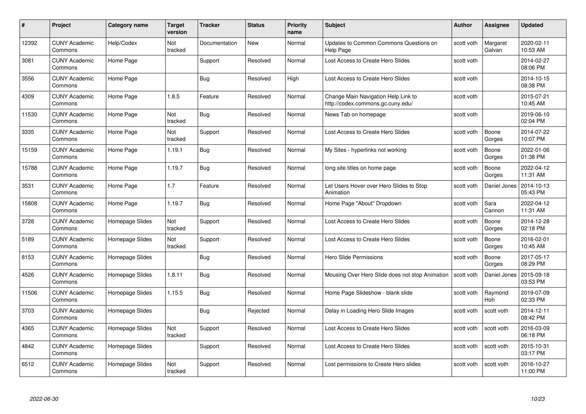| #     | Project                         | <b>Category name</b> | Target<br>version | <b>Tracker</b> | <b>Status</b> | <b>Priority</b><br>name | <b>Subject</b>                                                           | <b>Author</b> | <b>Assignee</b>    | <b>Updated</b>         |
|-------|---------------------------------|----------------------|-------------------|----------------|---------------|-------------------------|--------------------------------------------------------------------------|---------------|--------------------|------------------------|
| 12392 | <b>CUNY Academic</b><br>Commons | Help/Codex           | Not<br>tracked    | Documentation  | <b>New</b>    | Normal                  | Updates to Common Commons Questions on<br><b>Help Page</b>               | scott voth    | Margaret<br>Galvan | 2020-02-11<br>10:53 AM |
| 3081  | <b>CUNY Academic</b><br>Commons | Home Page            |                   | Support        | Resolved      | Normal                  | Lost Access to Create Hero Slides                                        | scott voth    |                    | 2014-02-27<br>08:06 PM |
| 3556  | <b>CUNY Academic</b><br>Commons | Home Page            |                   | Bug            | Resolved      | High                    | Lost Access to Create Hero Slides                                        | scott voth    |                    | 2014-10-15<br>08:38 PM |
| 4309  | <b>CUNY Academic</b><br>Commons | Home Page            | 1.8.5             | Feature        | Resolved      | Normal                  | Change Main Navigation Help Link to<br>http://codex.commons.gc.cuny.edu/ | scott voth    |                    | 2015-07-21<br>10:45 AM |
| 11530 | <b>CUNY Academic</b><br>Commons | Home Page            | Not<br>tracked    | <b>Bug</b>     | Resolved      | Normal                  | News Tab on homepage                                                     | scott voth    |                    | 2019-06-10<br>02:04 PM |
| 3335  | <b>CUNY Academic</b><br>Commons | Home Page            | Not<br>tracked    | Support        | Resolved      | Normal                  | Lost Access to Create Hero Slides                                        | scott voth    | Boone<br>Gorges    | 2014-07-22<br>10:07 PM |
| 15159 | <b>CUNY Academic</b><br>Commons | Home Page            | 1.19.1            | Bug            | Resolved      | Normal                  | My Sites - hyperlinks not working                                        | scott voth    | Boone<br>Gorges    | 2022-01-06<br>01:38 PM |
| 15788 | <b>CUNY Academic</b><br>Commons | Home Page            | 1.19.7            | Bug            | Resolved      | Normal                  | long site titles on home page                                            | scott voth    | Boone<br>Gorges    | 2022-04-12<br>11:31 AM |
| 3531  | <b>CUNY Academic</b><br>Commons | Home Page            | 1.7               | Feature        | Resolved      | Normal                  | Let Users Hover over Hero Slides to Stop<br>Animation                    | scott voth    | Daniel Jones       | 2014-10-13<br>05:43 PM |
| 15808 | <b>CUNY Academic</b><br>Commons | Home Page            | 1.19.7            | Bug            | Resolved      | Normal                  | Home Page "About" Dropdown                                               | scott voth    | Sara<br>Cannon     | 2022-04-12<br>11:31 AM |
| 3728  | CUNY Academic<br>Commons        | Homepage Slides      | Not<br>tracked    | Support        | Resolved      | Normal                  | Lost Access to Create Hero Slides                                        | scott voth    | Boone<br>Gorges    | 2014-12-28<br>02:18 PM |
| 5189  | <b>CUNY Academic</b><br>Commons | Homepage Slides      | Not<br>tracked    | Support        | Resolved      | Normal                  | Lost Access to Create Hero Slides                                        | scott voth    | Boone<br>Gorges    | 2016-02-01<br>10:45 AM |
| 8153  | <b>CUNY Academic</b><br>Commons | Homepage Slides      |                   | Bug            | Resolved      | Normal                  | <b>Hero Slide Permissions</b>                                            | scott voth    | Boone<br>Gorges    | 2017-05-17<br>08:29 PM |
| 4526  | <b>CUNY Academic</b><br>Commons | Homepage Slides      | 1.8.11            | <b>Bug</b>     | Resolved      | Normal                  | Mousing Over Hero Slide does not stop Animation                          | scott voth    | Daniel Jones       | 2015-09-18<br>03:53 PM |
| 11506 | <b>CUNY Academic</b><br>Commons | Homepage Slides      | 1.15.5            | Bug            | Resolved      | Normal                  | Home Page Slideshow - blank slide                                        | scott voth    | Raymond<br>Hoh     | 2019-07-09<br>02:33 PM |
| 3703  | <b>CUNY Academic</b><br>Commons | Homepage Slides      |                   | Bug            | Rejected      | Normal                  | Delay in Loading Hero Slide Images                                       | scott voth    | scott voth         | 2014-12-11<br>08:42 PM |
| 4365  | <b>CUNY Academic</b><br>Commons | Homepage Slides      | Not<br>tracked    | Support        | Resolved      | Normal                  | Lost Access to Create Hero Slides                                        | scott voth    | scott voth         | 2016-03-09<br>06:18 PM |
| 4842  | <b>CUNY Academic</b><br>Commons | Homepage Slides      |                   | Support        | Resolved      | Normal                  | Lost Access to Create Hero Slides                                        | scott voth    | scott voth         | 2015-10-31<br>03:17 PM |
| 6512  | CUNY Academic<br>Commons        | Homepage Slides      | Not<br>tracked    | Support        | Resolved      | Normal                  | Lost permissions to Create Hero slides                                   | scott voth    | scott voth         | 2016-10-27<br>11:00 PM |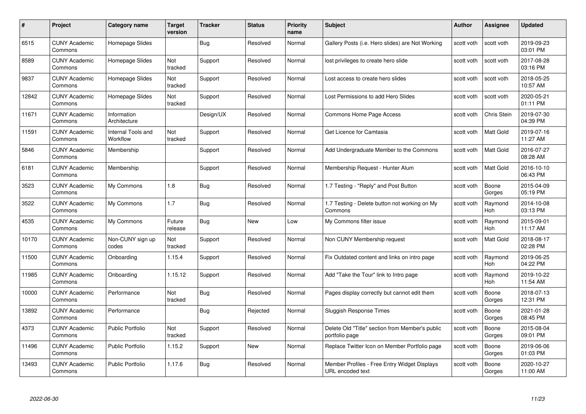| #     | Project                         | Category name                         | Target<br>version | <b>Tracker</b> | <b>Status</b> | <b>Priority</b><br>name | <b>Subject</b>                                                    | <b>Author</b> | <b>Assignee</b>       | <b>Updated</b>         |
|-------|---------------------------------|---------------------------------------|-------------------|----------------|---------------|-------------------------|-------------------------------------------------------------------|---------------|-----------------------|------------------------|
| 6515  | <b>CUNY Academic</b><br>Commons | Homepage Slides                       |                   | Bug            | Resolved      | Normal                  | Gallery Posts (i.e. Hero slides) are Not Working                  | scott voth    | scott voth            | 2019-09-23<br>03:01 PM |
| 8589  | <b>CUNY Academic</b><br>Commons | Homepage Slides                       | Not<br>tracked    | Support        | Resolved      | Normal                  | lost privileges to create hero slide                              | scott voth    | scott voth            | 2017-08-28<br>03:16 PM |
| 9837  | <b>CUNY Academic</b><br>Commons | Homepage Slides                       | Not<br>tracked    | Support        | Resolved      | Normal                  | Lost access to create hero slides                                 | scott voth    | scott voth            | 2018-05-25<br>10:57 AM |
| 12842 | <b>CUNY Academic</b><br>Commons | Homepage Slides                       | Not<br>tracked    | Support        | Resolved      | Normal                  | Lost Permissions to add Hero Slides                               | scott voth    | scott voth            | 2020-05-21<br>01:11 PM |
| 11671 | <b>CUNY Academic</b><br>Commons | Information<br>Architecture           |                   | Design/UX      | Resolved      | Normal                  | Commons Home Page Access                                          | scott voth    | Chris Stein           | 2019-07-30<br>04:39 PM |
| 11591 | <b>CUNY Academic</b><br>Commons | <b>Internal Tools and</b><br>Workflow | Not<br>tracked    | Support        | Resolved      | Normal                  | Get Licence for Camtasia                                          | scott voth    | <b>Matt Gold</b>      | 2019-07-16<br>11:27 AM |
| 5846  | <b>CUNY Academic</b><br>Commons | Membership                            |                   | Support        | Resolved      | Normal                  | Add Undergraduate Member to the Commons                           | scott voth    | Matt Gold             | 2016-07-27<br>08:28 AM |
| 6181  | <b>CUNY Academic</b><br>Commons | Membership                            |                   | Support        | Resolved      | Normal                  | Membership Request - Hunter Alum                                  | scott voth    | Matt Gold             | 2016-10-10<br>06:43 PM |
| 3523  | <b>CUNY Academic</b><br>Commons | My Commons                            | 1.8               | <b>Bug</b>     | Resolved      | Normal                  | 1.7 Testing - "Reply" and Post Button                             | scott voth    | Boone<br>Gorges       | 2015-04-09<br>05:19 PM |
| 3522  | <b>CUNY Academic</b><br>Commons | My Commons                            | 1.7               | <b>Bug</b>     | Resolved      | Normal                  | 1.7 Testing - Delete button not working on My<br>Commons          | scott voth    | Raymond<br><b>Hoh</b> | 2014-10-08<br>03:13 PM |
| 4535  | <b>CUNY Academic</b><br>Commons | My Commons                            | Future<br>release | <b>Bug</b>     | New           | Low                     | My Commons filter issue                                           | scott voth    | Raymond<br><b>Hoh</b> | 2015-09-01<br>11:17 AM |
| 10170 | <b>CUNY Academic</b><br>Commons | Non-CUNY sign up<br>codes             | Not<br>tracked    | Support        | Resolved      | Normal                  | Non CUNY Membership request                                       | scott voth    | Matt Gold             | 2018-08-17<br>02:28 PM |
| 11500 | <b>CUNY Academic</b><br>Commons | Onboarding                            | 1.15.4            | Support        | Resolved      | Normal                  | Fix Outdated content and links on intro page                      | scott voth    | Raymond<br>Hoh        | 2019-06-25<br>04:22 PM |
| 11985 | <b>CUNY Academic</b><br>Commons | Onboarding                            | 1.15.12           | Support        | Resolved      | Normal                  | Add "Take the Tour" link to Intro page                            | scott voth    | Raymond<br><b>Hoh</b> | 2019-10-22<br>11:54 AM |
| 10000 | <b>CUNY Academic</b><br>Commons | Performance                           | Not<br>tracked    | Bug            | Resolved      | Normal                  | Pages display correctly but cannot edit them                      | scott voth    | Boone<br>Gorges       | 2018-07-13<br>12:31 PM |
| 13892 | <b>CUNY Academic</b><br>Commons | Performance                           |                   | <b>Bug</b>     | Rejected      | Normal                  | <b>Sluggish Response Times</b>                                    | scott voth    | Boone<br>Gorges       | 2021-01-28<br>08:45 PM |
| 4373  | <b>CUNY Academic</b><br>Commons | <b>Public Portfolio</b>               | Not<br>tracked    | Support        | Resolved      | Normal                  | Delete Old "Title" section from Member's public<br>portfolio page | scott voth    | Boone<br>Gorges       | 2015-08-04<br>09:01 PM |
| 11496 | <b>CUNY Academic</b><br>Commons | <b>Public Portfolio</b>               | 1.15.2            | Support        | New           | Normal                  | Replace Twitter Icon on Member Portfolio page                     | scott voth    | Boone<br>Gorges       | 2019-06-06<br>01:03 PM |
| 13493 | CUNY Academic<br>Commons        | <b>Public Portfolio</b>               | 1.17.6            | <b>Bug</b>     | Resolved      | Normal                  | Member Profiles - Free Entry Widget Displays<br>URL encoded text  | scott voth    | Boone<br>Gorges       | 2020-10-27<br>11:00 AM |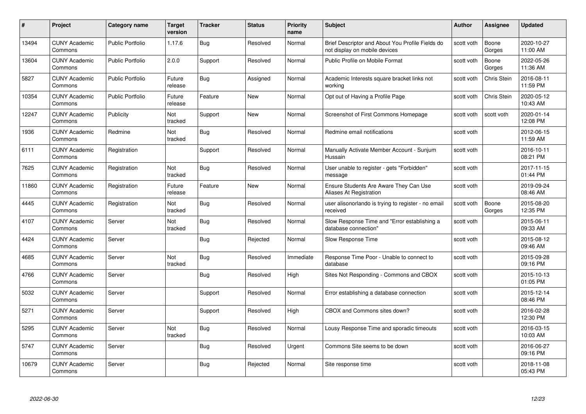| #     | Project                         | <b>Category name</b>    | Target<br>version | <b>Tracker</b> | <b>Status</b> | <b>Priority</b><br>name | <b>Subject</b>                                                                    | Author     | Assignee        | <b>Updated</b>         |
|-------|---------------------------------|-------------------------|-------------------|----------------|---------------|-------------------------|-----------------------------------------------------------------------------------|------------|-----------------|------------------------|
| 13494 | <b>CUNY Academic</b><br>Commons | Public Portfolio        | 1.17.6            | <b>Bug</b>     | Resolved      | Normal                  | Brief Descriptor and About You Profile Fields do<br>not display on mobile devices | scott voth | Boone<br>Gorges | 2020-10-27<br>11:00 AM |
| 13604 | <b>CUNY Academic</b><br>Commons | <b>Public Portfolio</b> | 2.0.0             | Support        | Resolved      | Normal                  | Public Profile on Mobile Format                                                   | scott voth | Boone<br>Gorges | 2022-05-26<br>11:36 AM |
| 5827  | <b>CUNY Academic</b><br>Commons | <b>Public Portfolio</b> | Future<br>release | <b>Bug</b>     | Assigned      | Normal                  | Academic Interests square bracket links not<br>workina                            | scott voth | Chris Stein     | 2016-08-11<br>11:59 PM |
| 10354 | <b>CUNY Academic</b><br>Commons | Public Portfolio        | Future<br>release | Feature        | <b>New</b>    | Normal                  | Opt out of Having a Profile Page                                                  | scott voth | Chris Stein     | 2020-05-12<br>10:43 AM |
| 12247 | <b>CUNY Academic</b><br>Commons | Publicity               | Not<br>tracked    | Support        | <b>New</b>    | Normal                  | Screenshot of First Commons Homepage                                              | scott voth | scott voth      | 2020-01-14<br>12:08 PM |
| 1936  | <b>CUNY Academic</b><br>Commons | Redmine                 | Not<br>tracked    | <b>Bug</b>     | Resolved      | Normal                  | Redmine email notifications                                                       | scott voth |                 | 2012-06-15<br>11:59 AM |
| 6111  | <b>CUNY Academic</b><br>Commons | Registration            |                   | Support        | Resolved      | Normal                  | Manually Activate Member Account - Sunjum<br>Hussain                              | scott voth |                 | 2016-10-11<br>08:21 PM |
| 7625  | <b>CUNY Academic</b><br>Commons | Registration            | Not<br>tracked    | <b>Bug</b>     | Resolved      | Normal                  | User unable to register - gets "Forbidden"<br>message                             | scott voth |                 | 2017-11-15<br>01:44 PM |
| 11860 | <b>CUNY Academic</b><br>Commons | Registration            | Future<br>release | Feature        | New           | Normal                  | Ensure Students Are Aware They Can Use<br>Aliases At Registration                 | scott voth |                 | 2019-09-24<br>08:46 AM |
| 4445  | <b>CUNY Academic</b><br>Commons | Registration            | Not<br>tracked    | Bug            | Resolved      | Normal                  | user alisonorlando is trying to register - no email<br>received                   | scott voth | Boone<br>Gorges | 2015-08-20<br>12:35 PM |
| 4107  | <b>CUNY Academic</b><br>Commons | Server                  | Not<br>tracked    | Bug            | Resolved      | Normal                  | Slow Response Time and "Error establishing a<br>database connection"              | scott voth |                 | 2015-06-11<br>09:33 AM |
| 4424  | <b>CUNY Academic</b><br>Commons | Server                  |                   | Bug            | Rejected      | Normal                  | Slow Response Time                                                                | scott voth |                 | 2015-08-12<br>09:46 AM |
| 4685  | <b>CUNY Academic</b><br>Commons | Server                  | Not<br>tracked    | Bug            | Resolved      | Immediate               | Response Time Poor - Unable to connect to<br>database                             | scott voth |                 | 2015-09-28<br>09:16 PM |
| 4766  | <b>CUNY Academic</b><br>Commons | Server                  |                   | <b>Bug</b>     | Resolved      | High                    | Sites Not Responding - Commons and CBOX                                           | scott voth |                 | 2015-10-13<br>01:05 PM |
| 5032  | <b>CUNY Academic</b><br>Commons | Server                  |                   | Support        | Resolved      | Normal                  | Error establishing a database connection                                          | scott voth |                 | 2015-12-14<br>08:46 PM |
| 5271  | <b>CUNY Academic</b><br>Commons | Server                  |                   | Support        | Resolved      | High                    | CBOX and Commons sites down?                                                      | scott voth |                 | 2016-02-28<br>12:30 PM |
| 5295  | <b>CUNY Academic</b><br>Commons | Server                  | Not<br>tracked    | <b>Bug</b>     | Resolved      | Normal                  | Lousy Response Time and sporadic timeouts                                         | scott voth |                 | 2016-03-15<br>10:03 AM |
| 5747  | <b>CUNY Academic</b><br>Commons | Server                  |                   | Bug            | Resolved      | Urgent                  | Commons Site seems to be down                                                     | scott voth |                 | 2016-06-27<br>09:16 PM |
| 10679 | CUNY Academic<br>Commons        | Server                  |                   | Bug            | Rejected      | Normal                  | Site response time                                                                | scott voth |                 | 2018-11-08<br>05:43 PM |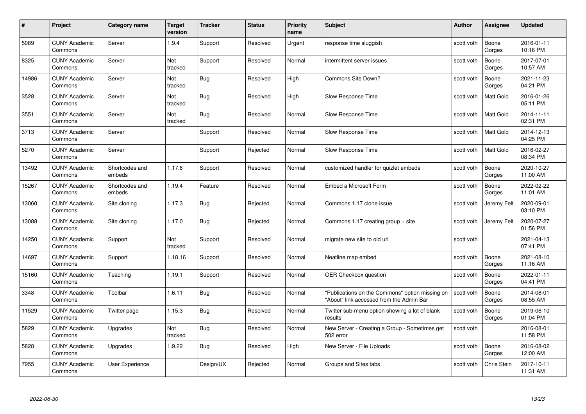| #     | Project                         | <b>Category name</b>     | <b>Target</b><br>version | <b>Tracker</b> | <b>Status</b> | <b>Priority</b><br>name | <b>Subject</b>                                                                              | <b>Author</b> | <b>Assignee</b>    | <b>Updated</b>         |
|-------|---------------------------------|--------------------------|--------------------------|----------------|---------------|-------------------------|---------------------------------------------------------------------------------------------|---------------|--------------------|------------------------|
| 5089  | <b>CUNY Academic</b><br>Commons | Server                   | 1.9.4                    | Support        | Resolved      | Urgent                  | response time sluggish                                                                      | scott voth    | Boone<br>Gorges    | 2016-01-11<br>10:16 PM |
| 8325  | <b>CUNY Academic</b><br>Commons | Server                   | Not<br>tracked           | Support        | Resolved      | Normal                  | intermittent server issues                                                                  | scott voth    | Boone<br>Gorges    | 2017-07-01<br>10:57 AM |
| 14986 | <b>CUNY Academic</b><br>Commons | Server                   | Not<br>tracked           | Bug            | Resolved      | High                    | Commons Site Down?                                                                          | scott voth    | Boone<br>Gorges    | 2021-11-23<br>04:21 PM |
| 3528  | <b>CUNY Academic</b><br>Commons | Server                   | Not<br>tracked           | <b>Bug</b>     | Resolved      | High                    | Slow Response Time                                                                          | scott voth    | Matt Gold          | 2016-01-26<br>05:11 PM |
| 3551  | <b>CUNY Academic</b><br>Commons | Server                   | Not<br>tracked           | Bug            | Resolved      | Normal                  | Slow Response Time                                                                          | scott voth    | <b>Matt Gold</b>   | 2014-11-11<br>02:31 PM |
| 3713  | <b>CUNY Academic</b><br>Commons | Server                   |                          | Support        | Resolved      | Normal                  | Slow Response Time                                                                          | scott voth    | Matt Gold          | 2014-12-13<br>04:25 PM |
| 5270  | <b>CUNY Academic</b><br>Commons | Server                   |                          | Support        | Rejected      | Normal                  | Slow Response Time                                                                          | scott voth    | Matt Gold          | 2016-02-27<br>08:34 PM |
| 13492 | <b>CUNY Academic</b><br>Commons | Shortcodes and<br>embeds | 1.17.6                   | Support        | Resolved      | Normal                  | customized handler for quizlet embeds                                                       | scott voth    | Boone<br>Gorges    | 2020-10-27<br>11:00 AM |
| 15267 | <b>CUNY Academic</b><br>Commons | Shortcodes and<br>embeds | 1.19.4                   | Feature        | Resolved      | Normal                  | Embed a Microsoft Form                                                                      | scott voth    | Boone<br>Gorges    | 2022-02-22<br>11:01 AM |
| 13060 | <b>CUNY Academic</b><br>Commons | Site cloning             | 1.17.3                   | Bug            | Rejected      | Normal                  | Commons 1.17 clone issue                                                                    | scott voth    | Jeremy Felt        | 2020-09-01<br>03:10 PM |
| 13088 | <b>CUNY Academic</b><br>Commons | Site cloning             | 1.17.0                   | Bug            | Rejected      | Normal                  | Commons 1.17 creating group + site                                                          | scott voth    | Jeremy Felt        | 2020-07-27<br>01:56 PM |
| 14250 | <b>CUNY Academic</b><br>Commons | Support                  | Not<br>tracked           | Support        | Resolved      | Normal                  | migrate new site to old url                                                                 | scott voth    |                    | 2021-04-13<br>07:41 PM |
| 14697 | <b>CUNY Academic</b><br>Commons | Support                  | 1.18.16                  | Support        | Resolved      | Normal                  | Neatline map embed                                                                          | scott voth    | Boone<br>Gorges    | 2021-08-10<br>11:16 AM |
| 15160 | <b>CUNY Academic</b><br>Commons | Teaching                 | 1.19.1                   | Support        | Resolved      | Normal                  | OER Checkbox question                                                                       | scott voth    | Boone<br>Gorges    | 2022-01-11<br>04:41 PM |
| 3348  | <b>CUNY Academic</b><br>Commons | Toolbar                  | 1.6.11                   | <b>Bug</b>     | Resolved      | Normal                  | "Publications on the Commons" option missing on<br>"About" link accessed from the Admin Bar | scott voth    | Boone<br>Gorges    | 2014-08-01<br>08:55 AM |
| 11529 | <b>CUNY Academic</b><br>Commons | Twitter page             | 1.15.3                   | <b>Bug</b>     | Resolved      | Normal                  | Twitter sub-menu option showing a lot of blank<br>results                                   | scott voth    | Boone<br>Gorges    | 2019-06-10<br>01:04 PM |
| 5829  | <b>CUNY Academic</b><br>Commons | Upgrades                 | Not<br>tracked           | <b>Bug</b>     | Resolved      | Normal                  | New Server - Creating a Group - Sometimes get<br>502 error                                  | scott voth    |                    | 2016-08-01<br>11:58 PM |
| 5828  | <b>CUNY Academic</b><br>Commons | Upgrades                 | 1.9.22                   | <b>Bug</b>     | Resolved      | High                    | New Server - File Uploads                                                                   | scott voth    | Boone<br>Gorges    | 2016-08-02<br>12:00 AM |
| 7955  | <b>CUNY Academic</b><br>Commons | User Experience          |                          | Design/UX      | Rejected      | Normal                  | Groups and Sites tabs                                                                       | scott voth    | <b>Chris Stein</b> | 2017-10-11<br>11:31 AM |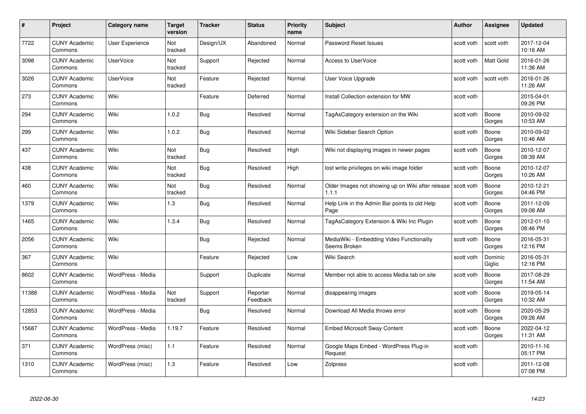| #     | Project                         | <b>Category name</b> | <b>Target</b><br>version | <b>Tracker</b> | <b>Status</b>        | <b>Priority</b><br>name | <b>Subject</b>                                                          | <b>Author</b> | <b>Assignee</b>   | <b>Updated</b>         |
|-------|---------------------------------|----------------------|--------------------------|----------------|----------------------|-------------------------|-------------------------------------------------------------------------|---------------|-------------------|------------------------|
| 7722  | <b>CUNY Academic</b><br>Commons | User Experience      | <b>Not</b><br>tracked    | Design/UX      | Abandoned            | Normal                  | Password Reset Issues                                                   | scott voth    | scott voth        | 2017-12-04<br>10:16 AM |
| 3098  | <b>CUNY Academic</b><br>Commons | <b>UserVoice</b>     | Not<br>tracked           | Support        | Rejected             | Normal                  | <b>Access to UserVoice</b>                                              | scott voth    | Matt Gold         | 2016-01-26<br>11:36 AM |
| 3026  | <b>CUNY Academic</b><br>Commons | <b>UserVoice</b>     | Not<br>tracked           | Feature        | Rejected             | Normal                  | User Voice Upgrade                                                      | scott voth    | scott voth        | 2016-01-26<br>11:26 AM |
| 273   | <b>CUNY Academic</b><br>Commons | Wiki                 |                          | Feature        | Deferred             | Normal                  | Install Collection extension for MW                                     | scott voth    |                   | 2015-04-01<br>09:26 PM |
| 294   | <b>CUNY Academic</b><br>Commons | Wiki                 | 1.0.2                    | <b>Bug</b>     | Resolved             | Normal                  | TagAsCategory extension on the Wiki                                     | scott voth    | Boone<br>Gorges   | 2010-09-02<br>10:53 AM |
| 299   | <b>CUNY Academic</b><br>Commons | Wiki                 | 1.0.2                    | <b>Bug</b>     | Resolved             | Normal                  | Wiki Sidebar Search Option                                              | scott voth    | Boone<br>Gorges   | 2010-09-02<br>10:46 AM |
| 437   | <b>CUNY Academic</b><br>Commons | Wiki                 | Not<br>tracked           | <b>Bug</b>     | Resolved             | High                    | Wiki not displaying images in newer pages                               | scott voth    | Boone<br>Gorges   | 2010-12-07<br>08:39 AM |
| 438   | <b>CUNY Academic</b><br>Commons | Wiki                 | Not<br>tracked           | <b>Bug</b>     | Resolved             | High                    | lost write privileges on wiki image folder                              | scott voth    | Boone<br>Gorges   | 2010-12-07<br>10:26 AM |
| 460   | <b>CUNY Academic</b><br>Commons | Wiki                 | Not<br>tracked           | <b>Bug</b>     | Resolved             | Normal                  | Older Images not showing up on Wiki after release   scott voth<br>1.1.1 |               | Boone<br>Gorges   | 2010-12-21<br>04:46 PM |
| 1379  | <b>CUNY Academic</b><br>Commons | Wiki                 | 1.3                      | <b>Bug</b>     | Resolved             | Normal                  | Help Link in the Admin Bar points to old Help<br>Page                   | scott voth    | Boone<br>Gorges   | 2011-12-09<br>09:08 AM |
| 1465  | <b>CUNY Academic</b><br>Commons | Wiki                 | 1.3.4                    | Bug            | Resolved             | Normal                  | TagAsCategory Extension & Wiki Inc Plugin                               | scott voth    | Boone<br>Gorges   | 2012-01-10<br>08:46 PM |
| 2056  | <b>CUNY Academic</b><br>Commons | Wiki                 |                          | <b>Bug</b>     | Rejected             | Normal                  | MediaWiki - Embedding Video Functionality<br>Seems Broken               | scott voth    | Boone<br>Gorges   | 2016-05-31<br>12:16 PM |
| 367   | <b>CUNY Academic</b><br>Commons | Wiki                 |                          | Feature        | Rejected             | Low                     | Wiki Search                                                             | scott voth    | Dominic<br>Giglio | 2016-05-31<br>12:16 PM |
| 8602  | <b>CUNY Academic</b><br>Commons | WordPress - Media    |                          | Support        | Duplicate            | Normal                  | Member not able to access Media tab on site                             | scott voth    | Boone<br>Gorges   | 2017-08-29<br>11:54 AM |
| 11386 | <b>CUNY Academic</b><br>Commons | WordPress - Media    | Not<br>tracked           | Support        | Reporter<br>Feedback | Normal                  | disappearing images                                                     | scott voth    | Boone<br>Gorges   | 2019-05-14<br>10:32 AM |
| 12853 | <b>CUNY Academic</b><br>Commons | WordPress - Media    |                          | <b>Bug</b>     | Resolved             | Normal                  | Download All Media throws error                                         | scott voth    | Boone<br>Gorges   | 2020-05-29<br>09:26 AM |
| 15687 | <b>CUNY Academic</b><br>Commons | WordPress - Media    | 1.19.7                   | Feature        | Resolved             | Normal                  | <b>Embed Microsoft Sway Content</b>                                     | scott voth    | Boone<br>Gorges   | 2022-04-12<br>11:31 AM |
| 371   | <b>CUNY Academic</b><br>Commons | WordPress (misc)     | $1.1$                    | Feature        | Resolved             | Normal                  | Google Maps Embed - WordPress Plug-in<br>Request                        | scott voth    |                   | 2010-11-16<br>05:17 PM |
| 1310  | <b>CUNY Academic</b><br>Commons | WordPress (misc)     | 1.3                      | Feature        | Resolved             | Low                     | Zotpress                                                                | scott voth    |                   | 2011-12-08<br>07:08 PM |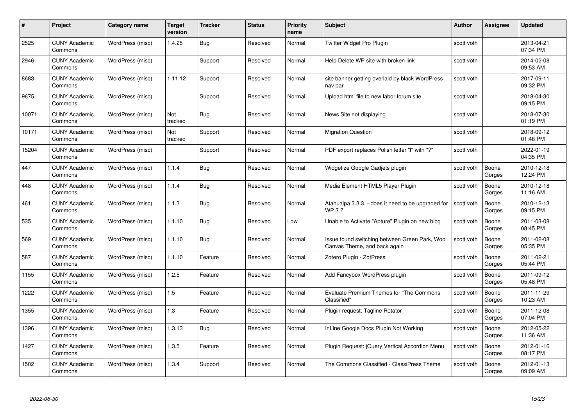| #     | Project                         | Category name    | <b>Target</b><br>version | <b>Tracker</b> | <b>Status</b> | <b>Priority</b><br>name | <b>Subject</b>                                                                | <b>Author</b> | <b>Assignee</b> | <b>Updated</b>         |
|-------|---------------------------------|------------------|--------------------------|----------------|---------------|-------------------------|-------------------------------------------------------------------------------|---------------|-----------------|------------------------|
| 2525  | <b>CUNY Academic</b><br>Commons | WordPress (misc) | 1.4.25                   | Bug            | Resolved      | Normal                  | Twitter Widget Pro Plugin                                                     | scott voth    |                 | 2013-04-21<br>07:34 PM |
| 2946  | <b>CUNY Academic</b><br>Commons | WordPress (misc) |                          | Support        | Resolved      | Normal                  | Help Delete WP site with broken link                                          | scott voth    |                 | 2014-02-08<br>09:53 AM |
| 8683  | <b>CUNY Academic</b><br>Commons | WordPress (misc) | 1.11.12                  | Support        | Resolved      | Normal                  | site banner getting overlaid by black WordPress<br>nav bar                    | scott voth    |                 | 2017-09-11<br>09:32 PM |
| 9675  | <b>CUNY Academic</b><br>Commons | WordPress (misc) |                          | Support        | Resolved      | Normal                  | Upload html file to new labor forum site                                      | scott voth    |                 | 2018-04-30<br>09:15 PM |
| 10071 | <b>CUNY Academic</b><br>Commons | WordPress (misc) | Not<br>tracked           | Bug            | Resolved      | Normal                  | News Site not displaying                                                      | scott voth    |                 | 2018-07-30<br>01:19 PM |
| 10171 | <b>CUNY Academic</b><br>Commons | WordPress (misc) | Not<br>tracked           | Support        | Resolved      | Normal                  | <b>Migration Question</b>                                                     | scott voth    |                 | 2018-09-12<br>01:48 PM |
| 15204 | <b>CUNY Academic</b><br>Commons | WordPress (misc) |                          | Support        | Resolved      | Normal                  | PDF export replaces Polish letter "I" with "?"                                | scott voth    |                 | 2022-01-19<br>04:35 PM |
| 447   | <b>CUNY Academic</b><br>Commons | WordPress (misc) | 1.1.4                    | Bug            | Resolved      | Normal                  | Widgetize Google Gadjets plugin                                               | scott voth    | Boone<br>Gorges | 2010-12-18<br>12:24 PM |
| 448   | <b>CUNY Academic</b><br>Commons | WordPress (misc) | 1.1.4                    | Bug            | Resolved      | Normal                  | Media Element HTML5 Player Plugin                                             | scott voth    | Boone<br>Gorges | 2010-12-18<br>11:16 AM |
| 461   | <b>CUNY Academic</b><br>Commons | WordPress (misc) | 1.1.3                    | Bug            | Resolved      | Normal                  | Atahualpa 3.3.3 - does it need to be upgraded for<br>WP 3?                    | scott voth    | Boone<br>Gorges | 2010-12-13<br>09:15 PM |
| 535   | <b>CUNY Academic</b><br>Commons | WordPress (misc) | 1.1.10                   | Bug            | Resolved      | Low                     | Unable to Activate "Apture" Plugin on new blog                                | scott voth    | Boone<br>Gorges | 2011-03-08<br>08:45 PM |
| 569   | <b>CUNY Academic</b><br>Commons | WordPress (misc) | 1.1.10                   | Bug            | Resolved      | Normal                  | Issue found switching between Green Park, Woo<br>Canvas Theme, and back again | scott voth    | Boone<br>Gorges | 2011-02-08<br>05:35 PM |
| 587   | <b>CUNY Academic</b><br>Commons | WordPress (misc) | 1.1.10                   | Feature        | Resolved      | Normal                  | Zotero Plugin - ZotPress                                                      | scott voth    | Boone<br>Gorges | 2011-02-21<br>05:44 PM |
| 1155  | <b>CUNY Academic</b><br>Commons | WordPress (misc) | 1.2.5                    | Feature        | Resolved      | Normal                  | Add Fancybox WordPress plugin                                                 | scott voth    | Boone<br>Gorges | 2011-09-12<br>05:48 PM |
| 1222  | <b>CUNY Academic</b><br>Commons | WordPress (misc) | 1.5                      | Feature        | Resolved      | Normal                  | <b>Evaluate Premium Themes for "The Commons</b><br>Classified"                | scott voth    | Boone<br>Gorges | 2011-11-29<br>10:23 AM |
| 1355  | <b>CUNY Academic</b><br>Commons | WordPress (misc) | 1.3                      | Feature        | Resolved      | Normal                  | Plugin request: Tagline Rotator                                               | scott voth    | Boone<br>Gorges | 2011-12-08<br>07:04 PM |
| 1396  | <b>CUNY Academic</b><br>Commons | WordPress (misc) | 1.3.13                   | Bug            | Resolved      | Normal                  | InLine Google Docs Plugin Not Working                                         | scott voth    | Boone<br>Gorges | 2012-05-22<br>11:36 AM |
| 1427  | <b>CUNY Academic</b><br>Commons | WordPress (misc) | 1.3.5                    | Feature        | Resolved      | Normal                  | Plugin Request: jQuery Vertical Accordion Menu                                | scott voth    | Boone<br>Gorges | 2012-01-16<br>08:17 PM |
| 1502  | <b>CUNY Academic</b><br>Commons | WordPress (misc) | 1.3.4                    | Support        | Resolved      | Normal                  | The Commons Classified - ClassiPress Theme                                    | scott voth    | Boone<br>Gorges | 2012-01-13<br>09:09 AM |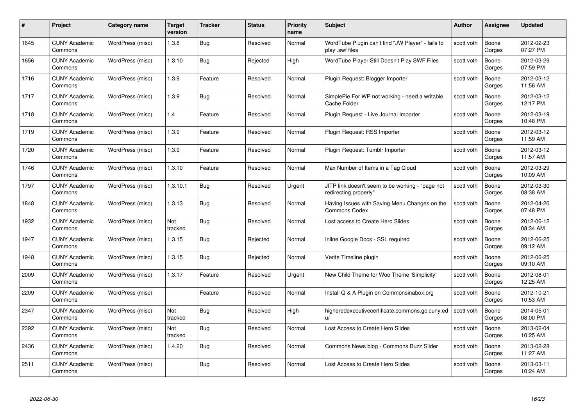| #    | Project                         | <b>Category name</b> | Target<br>version | <b>Tracker</b> | <b>Status</b> | <b>Priority</b><br>name | <b>Subject</b>                                                            | <b>Author</b> | <b>Assignee</b> | <b>Updated</b>         |
|------|---------------------------------|----------------------|-------------------|----------------|---------------|-------------------------|---------------------------------------------------------------------------|---------------|-----------------|------------------------|
| 1645 | <b>CUNY Academic</b><br>Commons | WordPress (misc)     | 1.3.8             | Bug            | Resolved      | Normal                  | WordTube Plugin can't find "JW Player" - fails to<br>play .swf files      | scott voth    | Boone<br>Gorges | 2012-02-23<br>07:27 PM |
| 1656 | <b>CUNY Academic</b><br>Commons | WordPress (misc)     | 1.3.10            | Bug            | Rejected      | High                    | WordTube Player Still Doesn't Play SWF Files                              | scott voth    | Boone<br>Gorges | 2012-03-29<br>07:59 PM |
| 1716 | <b>CUNY Academic</b><br>Commons | WordPress (misc)     | 1.3.9             | Feature        | Resolved      | Normal                  | Plugin Request: Blogger Importer                                          | scott voth    | Boone<br>Gorges | 2012-03-12<br>11:56 AM |
| 1717 | <b>CUNY Academic</b><br>Commons | WordPress (misc)     | 1.3.9             | <b>Bug</b>     | Resolved      | Normal                  | SimplePie For WP not working - need a writable<br>Cache Folder            | scott voth    | Boone<br>Gorges | 2012-03-12<br>12:17 PM |
| 1718 | CUNY Academic<br>Commons        | WordPress (misc)     | 1.4               | Feature        | Resolved      | Normal                  | Plugin Request - Live Journal Importer                                    | scott voth    | Boone<br>Gorges | 2012-03-19<br>10:48 PM |
| 1719 | <b>CUNY Academic</b><br>Commons | WordPress (misc)     | 1.3.9             | Feature        | Resolved      | Normal                  | Plugin Request: RSS Importer                                              | scott voth    | Boone<br>Gorges | 2012-03-12<br>11:59 AM |
| 1720 | <b>CUNY Academic</b><br>Commons | WordPress (misc)     | 1.3.9             | Feature        | Resolved      | Normal                  | Plugin Request: Tumblr Importer                                           | scott voth    | Boone<br>Gorges | 2012-03-12<br>11:57 AM |
| 1746 | <b>CUNY Academic</b><br>Commons | WordPress (misc)     | 1.3.10            | Feature        | Resolved      | Normal                  | Max Number of Items in a Tag Cloud                                        | scott voth    | Boone<br>Gorges | 2012-03-29<br>10:09 AM |
| 1797 | <b>CUNY Academic</b><br>Commons | WordPress (misc)     | 1.3.10.1          | Bug            | Resolved      | Urgent                  | JITP link doesn't seem to be working - "page not<br>redirecting properly" | scott voth    | Boone<br>Gorges | 2012-03-30<br>08:38 AM |
| 1848 | <b>CUNY Academic</b><br>Commons | WordPress (misc)     | 1.3.13            | Bug            | Resolved      | Normal                  | Having Issues with Saving Menu Changes on the<br>Commons Codex            | scott voth    | Boone<br>Gorges | 2012-04-26<br>07:48 PM |
| 1932 | CUNY Academic<br>Commons        | WordPress (misc)     | Not<br>tracked    | Bug            | Resolved      | Normal                  | Lost access to Create Hero Slides                                         | scott voth    | Boone<br>Gorges | 2012-06-12<br>08:34 AM |
| 1947 | <b>CUNY Academic</b><br>Commons | WordPress (misc)     | 1.3.15            | <b>Bug</b>     | Rejected      | Normal                  | Inline Google Docs - SSL required                                         | scott voth    | Boone<br>Gorges | 2012-06-25<br>09:12 AM |
| 1948 | <b>CUNY Academic</b><br>Commons | WordPress (misc)     | 1.3.15            | Bug            | Rejected      | Normal                  | Verite Timeline plugin                                                    | scott voth    | Boone<br>Gorges | 2012-06-25<br>09:10 AM |
| 2009 | <b>CUNY Academic</b><br>Commons | WordPress (misc)     | 1.3.17            | Feature        | Resolved      | Urgent                  | New Child Theme for Woo Theme 'Simplicity'                                | scott voth    | Boone<br>Gorges | 2012-08-01<br>12:25 AM |
| 2209 | <b>CUNY Academic</b><br>Commons | WordPress (misc)     |                   | Feature        | Resolved      | Normal                  | Install Q & A Plugin on Commonsinabox.org                                 | scott voth    | Boone<br>Gorges | 2012-10-21<br>10:53 AM |
| 2347 | <b>CUNY Academic</b><br>Commons | WordPress (misc)     | Not<br>tracked    | Bug            | Resolved      | High                    | higheredexecutivecertificate.commons.gc.cuny.ed<br>$\mathbf{u}$           | scott voth    | Boone<br>Gorges | 2014-05-01<br>08:00 PM |
| 2392 | <b>CUNY Academic</b><br>Commons | WordPress (misc)     | Not<br>tracked    | Bug            | Resolved      | Normal                  | Lost Access to Create Hero Slides                                         | scott voth    | Boone<br>Gorges | 2013-02-04<br>10:25 AM |
| 2436 | <b>CUNY Academic</b><br>Commons | WordPress (misc)     | 1.4.20            | Bug            | Resolved      | Normal                  | Commons News blog - Commons Buzz Slider                                   | scott voth    | Boone<br>Gorges | 2013-02-28<br>11:27 AM |
| 2511 | CUNY Academic<br>Commons        | WordPress (misc)     |                   | Bug            | Resolved      | Normal                  | Lost Access to Create Hero Slides                                         | scott voth    | Boone<br>Gorges | 2013-03-11<br>10:24 AM |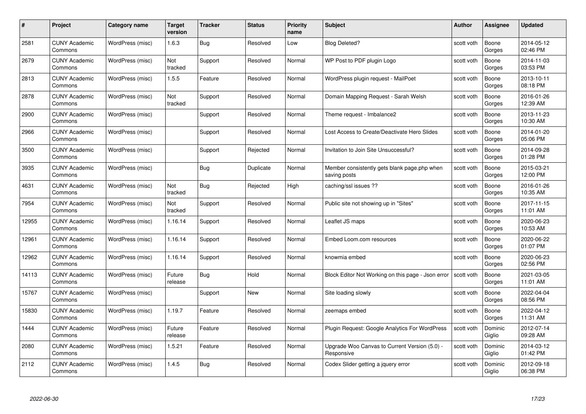| #     | Project                         | <b>Category name</b> | Target<br>version | <b>Tracker</b> | <b>Status</b> | <b>Priority</b><br>name | <b>Subject</b>                                               | <b>Author</b> | <b>Assignee</b>   | <b>Updated</b>         |
|-------|---------------------------------|----------------------|-------------------|----------------|---------------|-------------------------|--------------------------------------------------------------|---------------|-------------------|------------------------|
| 2581  | <b>CUNY Academic</b><br>Commons | WordPress (misc)     | 1.6.3             | Bug            | Resolved      | Low                     | <b>Blog Deleted?</b>                                         | scott voth    | Boone<br>Gorges   | 2014-05-12<br>02:46 PM |
| 2679  | <b>CUNY Academic</b><br>Commons | WordPress (misc)     | Not<br>tracked    | Support        | Resolved      | Normal                  | WP Post to PDF plugin Logo                                   | scott voth    | Boone<br>Gorges   | 2014-11-03<br>03:53 PM |
| 2813  | <b>CUNY Academic</b><br>Commons | WordPress (misc)     | 1.5.5             | Feature        | Resolved      | Normal                  | WordPress plugin request - MailPoet                          | scott voth    | Boone<br>Gorges   | 2013-10-11<br>08:18 PM |
| 2878  | <b>CUNY Academic</b><br>Commons | WordPress (misc)     | Not<br>tracked    | Support        | Resolved      | Normal                  | Domain Mapping Request - Sarah Welsh                         | scott voth    | Boone<br>Gorges   | 2016-01-26<br>12:39 AM |
| 2900  | <b>CUNY Academic</b><br>Commons | WordPress (misc)     |                   | Support        | Resolved      | Normal                  | Theme request - Imbalance2                                   | scott voth    | Boone<br>Gorges   | 2013-11-23<br>10:30 AM |
| 2966  | <b>CUNY Academic</b><br>Commons | WordPress (misc)     |                   | Support        | Resolved      | Normal                  | Lost Access to Create/Deactivate Hero Slides                 | scott voth    | Boone<br>Gorges   | 2014-01-20<br>05:06 PM |
| 3500  | <b>CUNY Academic</b><br>Commons | WordPress (misc)     |                   | Support        | Rejected      | Normal                  | Invitation to Join Site Unsuccessful?                        | scott voth    | Boone<br>Gorges   | 2014-09-28<br>01:28 PM |
| 3935  | <b>CUNY Academic</b><br>Commons | WordPress (misc)     |                   | Bug            | Duplicate     | Normal                  | Member consistently gets blank page.php when<br>saving posts | scott voth    | Boone<br>Gorges   | 2015-03-21<br>12:00 PM |
| 4631  | <b>CUNY Academic</b><br>Commons | WordPress (misc)     | Not<br>tracked    | <b>Bug</b>     | Rejected      | High                    | caching/ssl issues ??                                        | scott voth    | Boone<br>Gorges   | 2016-01-26<br>10:35 AM |
| 7954  | <b>CUNY Academic</b><br>Commons | WordPress (misc)     | Not<br>tracked    | Support        | Resolved      | Normal                  | Public site not showing up in "Sites"                        | scott voth    | Boone<br>Gorges   | 2017-11-15<br>11:01 AM |
| 12955 | CUNY Academic<br>Commons        | WordPress (misc)     | 1.16.14           | Support        | Resolved      | Normal                  | Leaflet JS maps                                              | scott voth    | Boone<br>Gorges   | 2020-06-23<br>10:53 AM |
| 12961 | <b>CUNY Academic</b><br>Commons | WordPress (misc)     | 1.16.14           | Support        | Resolved      | Normal                  | Embed Loom.com resources                                     | scott voth    | Boone<br>Gorges   | 2020-06-22<br>01:07 PM |
| 12962 | CUNY Academic<br>Commons        | WordPress (misc)     | 1.16.14           | Support        | Resolved      | Normal                  | knowmia embed                                                | scott voth    | Boone<br>Gorges   | 2020-06-23<br>02:56 PM |
| 14113 | <b>CUNY Academic</b><br>Commons | WordPress (misc)     | Future<br>release | <b>Bug</b>     | Hold          | Normal                  | Block Editor Not Working on this page - Json error           | scott voth    | Boone<br>Gorges   | 2021-03-05<br>11:01 AM |
| 15767 | <b>CUNY Academic</b><br>Commons | WordPress (misc)     |                   | Support        | New           | Normal                  | Site loading slowly                                          | scott voth    | Boone<br>Gorges   | 2022-04-04<br>08:56 PM |
| 15830 | <b>CUNY Academic</b><br>Commons | WordPress (misc)     | 1.19.7            | Feature        | Resolved      | Normal                  | zeemaps embed                                                | scott voth    | Boone<br>Gorges   | 2022-04-12<br>11:31 AM |
| 1444  | <b>CUNY Academic</b><br>Commons | WordPress (misc)     | Future<br>release | Feature        | Resolved      | Normal                  | Plugin Request: Google Analytics For WordPress               | scott voth    | Dominic<br>Giglio | 2012-07-14<br>09:28 AM |
| 2080  | <b>CUNY Academic</b><br>Commons | WordPress (misc)     | 1.5.21            | Feature        | Resolved      | Normal                  | Upgrade Woo Canvas to Current Version (5.0) -<br>Responsive  | scott voth    | Dominic<br>Giglio | 2014-03-12<br>01:42 PM |
| 2112  | <b>CUNY Academic</b><br>Commons | WordPress (misc)     | 1.4.5             | Bug            | Resolved      | Normal                  | Codex Slider getting a jquery error                          | scott voth    | Dominic<br>Giglio | 2012-09-18<br>06:38 PM |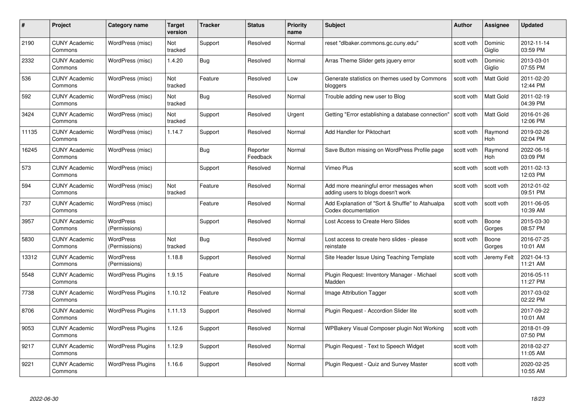| #     | Project                         | <b>Category name</b>              | Target<br>version     | <b>Tracker</b> | <b>Status</b>        | <b>Priority</b><br>name | <b>Subject</b>                                                                | <b>Author</b> | <b>Assignee</b>   | <b>Updated</b>         |
|-------|---------------------------------|-----------------------------------|-----------------------|----------------|----------------------|-------------------------|-------------------------------------------------------------------------------|---------------|-------------------|------------------------|
| 2190  | <b>CUNY Academic</b><br>Commons | WordPress (misc)                  | Not<br>tracked        | Support        | Resolved             | Normal                  | reset "dlbaker.commons.gc.cuny.edu"                                           | scott voth    | Dominic<br>Giglio | 2012-11-14<br>03:59 PM |
| 2332  | <b>CUNY Academic</b><br>Commons | WordPress (misc)                  | 1.4.20                | Bug            | Resolved             | Normal                  | Arras Theme Slider gets jquery error                                          | scott voth    | Dominic<br>Giglio | 2013-03-01<br>07:55 PM |
| 536   | <b>CUNY Academic</b><br>Commons | WordPress (misc)                  | <b>Not</b><br>tracked | Feature        | Resolved             | Low                     | Generate statistics on themes used by Commons<br>bloggers                     | scott voth    | Matt Gold         | 2011-02-20<br>12:44 PM |
| 592   | <b>CUNY Academic</b><br>Commons | WordPress (misc)                  | Not<br>tracked        | <b>Bug</b>     | Resolved             | Normal                  | Trouble adding new user to Blog                                               | scott voth    | <b>Matt Gold</b>  | 2011-02-19<br>04:39 PM |
| 3424  | CUNY Academic<br>Commons        | WordPress (misc)                  | Not<br>tracked        | Support        | Resolved             | Urgent                  | Getting "Error establishing a database connection"                            | scott voth    | Matt Gold         | 2016-01-26<br>12:06 PM |
| 11135 | <b>CUNY Academic</b><br>Commons | WordPress (misc)                  | 1.14.7                | Support        | Resolved             | Normal                  | Add Handler for Piktochart                                                    | scott voth    | Raymond<br>Hoh    | 2019-02-26<br>02:04 PM |
| 16245 | <b>CUNY Academic</b><br>Commons | WordPress (misc)                  |                       | Bug            | Reporter<br>Feedback | Normal                  | Save Button missing on WordPress Profile page                                 | scott voth    | Raymond<br>Hoh    | 2022-06-16<br>03:09 PM |
| 573   | <b>CUNY Academic</b><br>Commons | WordPress (misc)                  |                       | Support        | Resolved             | Normal                  | Vimeo Plus                                                                    | scott voth    | scott voth        | 2011-02-13<br>12:03 PM |
| 594   | <b>CUNY Academic</b><br>Commons | WordPress (misc)                  | Not<br>tracked        | Feature        | Resolved             | Normal                  | Add more meaningful error messages when<br>adding users to blogs doesn't work | scott voth    | scott voth        | 2012-01-02<br>09:51 PM |
| 737   | <b>CUNY Academic</b><br>Commons | WordPress (misc)                  |                       | Feature        | Resolved             | Normal                  | Add Explanation of "Sort & Shuffle" to Atahualpa<br>Codex documentation       | scott voth    | scott voth        | 2011-06-05<br>10:39 AM |
| 3957  | CUNY Academic<br>Commons        | WordPress<br>(Permissions)        |                       | Support        | Resolved             | Normal                  | Lost Access to Create Hero Slides                                             | scott voth    | Boone<br>Gorges   | 2015-03-30<br>08:57 PM |
| 5830  | <b>CUNY Academic</b><br>Commons | <b>WordPress</b><br>(Permissions) | Not<br>tracked        | <b>Bug</b>     | Resolved             | Normal                  | Lost access to create hero slides - please<br>reinstate                       | scott voth    | Boone<br>Gorges   | 2016-07-25<br>10:01 AM |
| 13312 | <b>CUNY Academic</b><br>Commons | <b>WordPress</b><br>(Permissions) | 1.18.8                | Support        | Resolved             | Normal                  | Site Header Issue Using Teaching Template                                     | scott voth    | Jeremy Felt       | 2021-04-13<br>11:21 AM |
| 5548  | <b>CUNY Academic</b><br>Commons | <b>WordPress Plugins</b>          | 1.9.15                | Feature        | Resolved             | Normal                  | Plugin Request: Inventory Manager - Michael<br>Madden                         | scott voth    |                   | 2016-05-11<br>11:27 PM |
| 7738  | <b>CUNY Academic</b><br>Commons | <b>WordPress Plugins</b>          | 1.10.12               | Feature        | Resolved             | Normal                  | Image Attribution Tagger                                                      | scott voth    |                   | 2017-03-02<br>02:22 PM |
| 8706  | <b>CUNY Academic</b><br>Commons | <b>WordPress Plugins</b>          | 1.11.13               | Support        | Resolved             | Normal                  | Plugin Request - Accordion Slider lite                                        | scott voth    |                   | 2017-09-22<br>10:01 AM |
| 9053  | <b>CUNY Academic</b><br>Commons | <b>WordPress Plugins</b>          | 1.12.6                | Support        | Resolved             | Normal                  | WPBakery Visual Composer plugin Not Working                                   | scott voth    |                   | 2018-01-09<br>07:50 PM |
| 9217  | <b>CUNY Academic</b><br>Commons | <b>WordPress Plugins</b>          | 1.12.9                | Support        | Resolved             | Normal                  | Plugin Request - Text to Speech Widget                                        | scott voth    |                   | 2018-02-27<br>11:05 AM |
| 9221  | CUNY Academic<br>Commons        | <b>WordPress Plugins</b>          | 1.16.6                | Support        | Resolved             | Normal                  | Plugin Request - Quiz and Survey Master                                       | scott voth    |                   | 2020-02-25<br>10:55 AM |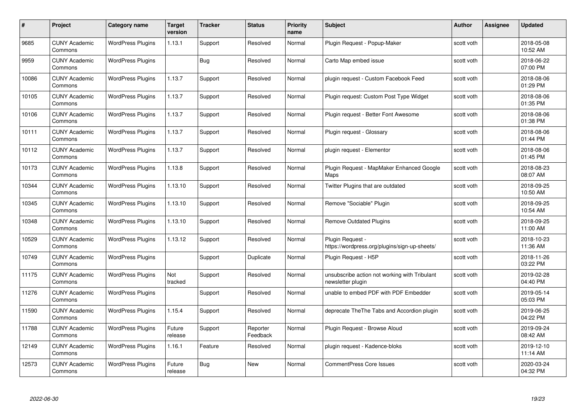| #     | Project                         | <b>Category name</b>     | Target<br>version | <b>Tracker</b> | <b>Status</b>        | <b>Priority</b><br>name | <b>Subject</b>                                                     | <b>Author</b> | <b>Assignee</b> | <b>Updated</b>         |
|-------|---------------------------------|--------------------------|-------------------|----------------|----------------------|-------------------------|--------------------------------------------------------------------|---------------|-----------------|------------------------|
| 9685  | <b>CUNY Academic</b><br>Commons | <b>WordPress Plugins</b> | 1.13.1            | Support        | Resolved             | Normal                  | Plugin Request - Popup-Maker                                       | scott voth    |                 | 2018-05-08<br>10:52 AM |
| 9959  | <b>CUNY Academic</b><br>Commons | <b>WordPress Plugins</b> |                   | Bug            | Resolved             | Normal                  | Carto Map embed issue                                              | scott voth    |                 | 2018-06-22<br>07:00 PM |
| 10086 | <b>CUNY Academic</b><br>Commons | <b>WordPress Plugins</b> | 1.13.7            | Support        | Resolved             | Normal                  | plugin request - Custom Facebook Feed                              | scott voth    |                 | 2018-08-06<br>01:29 PM |
| 10105 | <b>CUNY Academic</b><br>Commons | <b>WordPress Plugins</b> | 1.13.7            | Support        | Resolved             | Normal                  | Plugin request: Custom Post Type Widget                            | scott voth    |                 | 2018-08-06<br>01:35 PM |
| 10106 | <b>CUNY Academic</b><br>Commons | <b>WordPress Plugins</b> | 1.13.7            | Support        | Resolved             | Normal                  | Plugin reguest - Better Font Awesome                               | scott voth    |                 | 2018-08-06<br>01:38 PM |
| 10111 | <b>CUNY Academic</b><br>Commons | <b>WordPress Plugins</b> | 1.13.7            | Support        | Resolved             | Normal                  | Plugin request - Glossary                                          | scott voth    |                 | 2018-08-06<br>01:44 PM |
| 10112 | <b>CUNY Academic</b><br>Commons | <b>WordPress Plugins</b> | 1.13.7            | Support        | Resolved             | Normal                  | plugin request - Elementor                                         | scott voth    |                 | 2018-08-06<br>01:45 PM |
| 10173 | <b>CUNY Academic</b><br>Commons | <b>WordPress Plugins</b> | 1.13.8            | Support        | Resolved             | Normal                  | Plugin Request - MapMaker Enhanced Google<br>Maps                  | scott voth    |                 | 2018-08-23<br>08:07 AM |
| 10344 | <b>CUNY Academic</b><br>Commons | <b>WordPress Plugins</b> | 1.13.10           | Support        | Resolved             | Normal                  | Twitter Plugins that are outdated                                  | scott voth    |                 | 2018-09-25<br>10:50 AM |
| 10345 | <b>CUNY Academic</b><br>Commons | <b>WordPress Plugins</b> | 1.13.10           | Support        | Resolved             | Normal                  | Remove "Sociable" Plugin                                           | scott voth    |                 | 2018-09-25<br>10:54 AM |
| 10348 | <b>CUNY Academic</b><br>Commons | <b>WordPress Plugins</b> | 1.13.10           | Support        | Resolved             | Normal                  | Remove Outdated Plugins                                            | scott voth    |                 | 2018-09-25<br>11:00 AM |
| 10529 | <b>CUNY Academic</b><br>Commons | <b>WordPress Plugins</b> | 1.13.12           | Support        | Resolved             | Normal                  | Plugin Request -<br>https://wordpress.org/plugins/sign-up-sheets/  | scott voth    |                 | 2018-10-23<br>11:36 AM |
| 10749 | <b>CUNY Academic</b><br>Commons | <b>WordPress Plugins</b> |                   | Support        | Duplicate            | Normal                  | Plugin Request - H5P                                               | scott voth    |                 | 2018-11-26<br>03:22 PM |
| 11175 | <b>CUNY Academic</b><br>Commons | <b>WordPress Plugins</b> | Not<br>tracked    | Support        | Resolved             | Normal                  | unsubscribe action not working with Tribulant<br>newsletter plugin | scott voth    |                 | 2019-02-28<br>04:40 PM |
| 11276 | <b>CUNY Academic</b><br>Commons | <b>WordPress Plugins</b> |                   | Support        | Resolved             | Normal                  | unable to embed PDF with PDF Embedder                              | scott voth    |                 | 2019-05-14<br>05:03 PM |
| 11590 | <b>CUNY Academic</b><br>Commons | <b>WordPress Plugins</b> | 1.15.4            | Support        | Resolved             | Normal                  | deprecate The The Tabs and Accordion plugin                        | scott voth    |                 | 2019-06-25<br>04:22 PM |
| 11788 | <b>CUNY Academic</b><br>Commons | <b>WordPress Plugins</b> | Future<br>release | Support        | Reporter<br>Feedback | Normal                  | Plugin Request - Browse Aloud                                      | scott voth    |                 | 2019-09-24<br>08:42 AM |
| 12149 | <b>CUNY Academic</b><br>Commons | <b>WordPress Plugins</b> | 1.16.1            | Feature        | Resolved             | Normal                  | plugin request - Kadence-bloks                                     | scott voth    |                 | 2019-12-10<br>11:14 AM |
| 12573 | <b>CUNY Academic</b><br>Commons | <b>WordPress Plugins</b> | Future<br>release | Bug            | <b>New</b>           | Normal                  | <b>CommentPress Core Issues</b>                                    | scott voth    |                 | 2020-03-24<br>04:32 PM |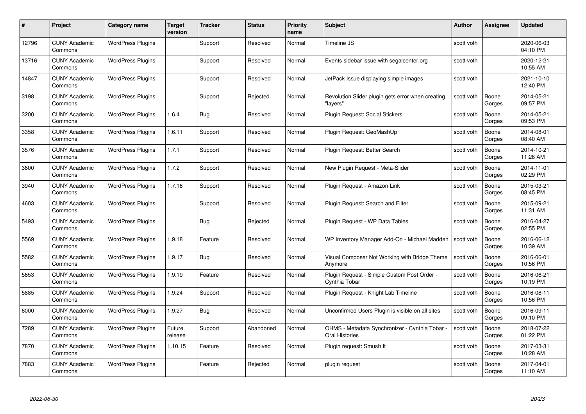| #     | Project                         | Category name            | Target<br>version | <b>Tracker</b> | <b>Status</b> | <b>Priority</b><br>name | <b>Subject</b>                                                        | <b>Author</b> | <b>Assignee</b> | <b>Updated</b>         |
|-------|---------------------------------|--------------------------|-------------------|----------------|---------------|-------------------------|-----------------------------------------------------------------------|---------------|-----------------|------------------------|
| 12796 | <b>CUNY Academic</b><br>Commons | <b>WordPress Plugins</b> |                   | Support        | Resolved      | Normal                  | Timeline JS                                                           | scott voth    |                 | 2020-06-03<br>04:10 PM |
| 13716 | <b>CUNY Academic</b><br>Commons | <b>WordPress Plugins</b> |                   | Support        | Resolved      | Normal                  | Events sidebar issue with segalcenter.org                             | scott voth    |                 | 2020-12-21<br>10:55 AM |
| 14847 | <b>CUNY Academic</b><br>Commons | <b>WordPress Plugins</b> |                   | Support        | Resolved      | Normal                  | JetPack Issue displaying simple images                                | scott voth    |                 | 2021-10-10<br>12:40 PM |
| 3198  | <b>CUNY Academic</b><br>Commons | <b>WordPress Plugins</b> |                   | Support        | Rejected      | Normal                  | Revolution Slider plugin gets error when creating<br>'lavers"         | scott voth    | Boone<br>Gorges | 2014-05-21<br>09:57 PM |
| 3200  | <b>CUNY Academic</b><br>Commons | <b>WordPress Plugins</b> | 1.6.4             | <b>Bug</b>     | Resolved      | Normal                  | Plugin Request: Social Stickers                                       | scott voth    | Boone<br>Gorges | 2014-05-21<br>09:53 PM |
| 3358  | <b>CUNY Academic</b><br>Commons | <b>WordPress Plugins</b> | 1.6.11            | Support        | Resolved      | Normal                  | Plugin Request: GeoMashUp                                             | scott voth    | Boone<br>Gorges | 2014-08-01<br>08:40 AM |
| 3576  | <b>CUNY Academic</b><br>Commons | <b>WordPress Plugins</b> | 1.7.1             | Support        | Resolved      | Normal                  | Plugin Request: Better Search                                         | scott voth    | Boone<br>Gorges | 2014-10-21<br>11:26 AM |
| 3600  | <b>CUNY Academic</b><br>Commons | <b>WordPress Plugins</b> | 1.7.2             | Support        | Resolved      | Normal                  | New Plugin Request - Meta-Slider                                      | scott voth    | Boone<br>Gorges | 2014-11-01<br>02:29 PM |
| 3940  | <b>CUNY Academic</b><br>Commons | <b>WordPress Plugins</b> | 1.7.16            | Support        | Resolved      | Normal                  | Plugin Request - Amazon Link                                          | scott voth    | Boone<br>Gorges | 2015-03-21<br>08:45 PM |
| 4603  | <b>CUNY Academic</b><br>Commons | <b>WordPress Plugins</b> |                   | Support        | Resolved      | Normal                  | Plugin Request: Search and Filter                                     | scott voth    | Boone<br>Gorges | 2015-09-21<br>11:31 AM |
| 5493  | <b>CUNY Academic</b><br>Commons | <b>WordPress Plugins</b> |                   | Bug            | Rejected      | Normal                  | Plugin Request - WP Data Tables                                       | scott voth    | Boone<br>Gorges | 2016-04-27<br>02:55 PM |
| 5569  | CUNY Academic<br>Commons        | <b>WordPress Plugins</b> | 1.9.18            | Feature        | Resolved      | Normal                  | WP Inventory Manager Add-On - Michael Madden                          | scott voth    | Boone<br>Gorges | 2016-06-12<br>10:39 AM |
| 5582  | <b>CUNY Academic</b><br>Commons | <b>WordPress Plugins</b> | 1.9.17            | Bug            | Resolved      | Normal                  | Visual Composer Not Working with Bridge Theme<br>Anymore              | scott voth    | Boone<br>Gorges | 2016-06-01<br>10:56 PM |
| 5653  | <b>CUNY Academic</b><br>Commons | <b>WordPress Plugins</b> | 1.9.19            | Feature        | Resolved      | Normal                  | Plugin Request - Simple Custom Post Order -<br>Cynthia Tobar          | scott voth    | Boone<br>Gorges | 2016-06-21<br>10:19 PM |
| 5885  | CUNY Academic<br>Commons        | <b>WordPress Plugins</b> | 1.9.24            | Support        | Resolved      | Normal                  | Plugin Request - Knight Lab Timeline                                  | scott voth    | Boone<br>Gorges | 2016-08-11<br>10:56 PM |
| 6000  | <b>CUNY Academic</b><br>Commons | <b>WordPress Plugins</b> | 1.9.27            | Bug            | Resolved      | Normal                  | Unconfirmed Users Plugin is visible on all sites                      | scott voth    | Boone<br>Gorges | 2016-09-11<br>09:10 PM |
| 7289  | <b>CUNY Academic</b><br>Commons | <b>WordPress Plugins</b> | Future<br>release | Support        | Abandoned     | Normal                  | OHMS - Metadata Synchronizer - Cynthia Tobar<br><b>Oral Histories</b> | scott voth    | Boone<br>Gorges | 2018-07-22<br>01:22 PM |
| 7870  | <b>CUNY Academic</b><br>Commons | <b>WordPress Plugins</b> | 1.10.15           | Feature        | Resolved      | Normal                  | Plugin request: Smush It                                              | scott voth    | Boone<br>Gorges | 2017-03-31<br>10:28 AM |
| 7883  | CUNY Academic<br>Commons        | <b>WordPress Plugins</b> |                   | Feature        | Rejected      | Normal                  | plugin request                                                        | scott voth    | Boone<br>Gorges | 2017-04-01<br>11:10 AM |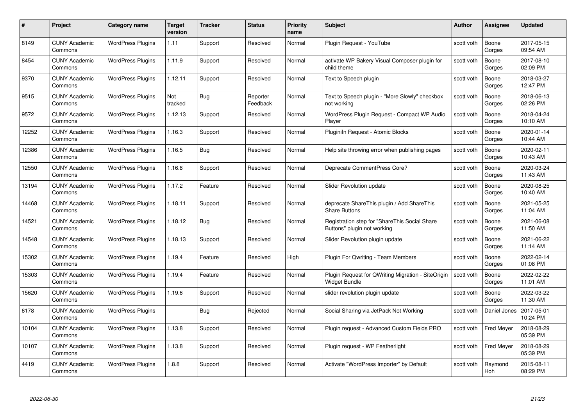| #     | Project                         | <b>Category name</b>     | Target<br>version | <b>Tracker</b> | <b>Status</b>        | <b>Priority</b><br>name | <b>Subject</b>                                                               | <b>Author</b> | <b>Assignee</b>   | <b>Updated</b>         |
|-------|---------------------------------|--------------------------|-------------------|----------------|----------------------|-------------------------|------------------------------------------------------------------------------|---------------|-------------------|------------------------|
| 8149  | <b>CUNY Academic</b><br>Commons | <b>WordPress Plugins</b> | 1.11              | Support        | Resolved             | Normal                  | Plugin Request - YouTube                                                     | scott voth    | Boone<br>Gorges   | 2017-05-15<br>09:54 AM |
| 8454  | <b>CUNY Academic</b><br>Commons | <b>WordPress Plugins</b> | 1.11.9            | Support        | Resolved             | Normal                  | activate WP Bakery Visual Composer plugin for<br>child theme                 | scott voth    | Boone<br>Gorges   | 2017-08-10<br>02:09 PM |
| 9370  | <b>CUNY Academic</b><br>Commons | <b>WordPress Plugins</b> | 1.12.11           | Support        | Resolved             | Normal                  | Text to Speech plugin                                                        | scott voth    | Boone<br>Gorges   | 2018-03-27<br>12:47 PM |
| 9515  | <b>CUNY Academic</b><br>Commons | <b>WordPress Plugins</b> | Not<br>tracked    | Bug            | Reporter<br>Feedback | Normal                  | Text to Speech plugin - "More Slowly" checkbox<br>not working                | scott voth    | Boone<br>Gorges   | 2018-06-13<br>02:26 PM |
| 9572  | CUNY Academic<br>Commons        | <b>WordPress Plugins</b> | 1.12.13           | Support        | Resolved             | Normal                  | WordPress Plugin Request - Compact WP Audio<br>Player                        | scott voth    | Boone<br>Gorges   | 2018-04-24<br>10:10 AM |
| 12252 | <b>CUNY Academic</b><br>Commons | <b>WordPress Plugins</b> | 1.16.3            | Support        | Resolved             | Normal                  | Pluginiln Request - Atomic Blocks                                            | scott voth    | Boone<br>Gorges   | 2020-01-14<br>10:44 AM |
| 12386 | <b>CUNY Academic</b><br>Commons | <b>WordPress Plugins</b> | 1.16.5            | Bug            | Resolved             | Normal                  | Help site throwing error when publishing pages                               | scott voth    | Boone<br>Gorges   | 2020-02-11<br>10:43 AM |
| 12550 | <b>CUNY Academic</b><br>Commons | <b>WordPress Plugins</b> | 1.16.8            | Support        | Resolved             | Normal                  | Deprecate CommentPress Core?                                                 | scott voth    | Boone<br>Gorges   | 2020-03-24<br>11:43 AM |
| 13194 | <b>CUNY Academic</b><br>Commons | <b>WordPress Plugins</b> | 1.17.2            | Feature        | Resolved             | Normal                  | Slider Revolution update                                                     | scott voth    | Boone<br>Gorges   | 2020-08-25<br>10:40 AM |
| 14468 | <b>CUNY Academic</b><br>Commons | <b>WordPress Plugins</b> | 1.18.11           | Support        | Resolved             | Normal                  | deprecate ShareThis plugin / Add ShareThis<br><b>Share Buttons</b>           | scott voth    | Boone<br>Gorges   | 2021-05-25<br>11:04 AM |
| 14521 | CUNY Academic<br>Commons        | <b>WordPress Plugins</b> | 1.18.12           | Bug            | Resolved             | Normal                  | Registration step for "ShareThis Social Share<br>Buttons" plugin not working | scott voth    | Boone<br>Gorges   | 2021-06-08<br>11:50 AM |
| 14548 | <b>CUNY Academic</b><br>Commons | <b>WordPress Plugins</b> | 1.18.13           | Support        | Resolved             | Normal                  | Slider Revolution plugin update                                              | scott voth    | Boone<br>Gorges   | 2021-06-22<br>11:14 AM |
| 15302 | <b>CUNY Academic</b><br>Commons | <b>WordPress Plugins</b> | 1.19.4            | Feature        | Resolved             | High                    | Plugin For Qwriting - Team Members                                           | scott voth    | Boone<br>Gorges   | 2022-02-14<br>01:08 PM |
| 15303 | <b>CUNY Academic</b><br>Commons | <b>WordPress Plugins</b> | 1.19.4            | Feature        | Resolved             | Normal                  | Plugin Request for QWriting Migration - SiteOrigin<br>Widget Bundle          | scott voth    | Boone<br>Gorges   | 2022-02-22<br>11:01 AM |
| 15620 | <b>CUNY Academic</b><br>Commons | <b>WordPress Plugins</b> | 1.19.6            | Support        | Resolved             | Normal                  | slider revolution plugin update                                              | scott voth    | Boone<br>Gorges   | 2022-03-22<br>11:30 AM |
| 6178  | <b>CUNY Academic</b><br>Commons | <b>WordPress Plugins</b> |                   | Bug            | Rejected             | Normal                  | Social Sharing via JetPack Not Working                                       | scott voth    | Daniel Jones      | 2017-05-01<br>10:24 PM |
| 10104 | <b>CUNY Academic</b><br>Commons | <b>WordPress Plugins</b> | 1.13.8            | Support        | Resolved             | Normal                  | Plugin request - Advanced Custom Fields PRO                                  | scott voth    | <b>Fred Meyer</b> | 2018-08-29<br>05:39 PM |
| 10107 | <b>CUNY Academic</b><br>Commons | <b>WordPress Plugins</b> | 1.13.8            | Support        | Resolved             | Normal                  | Plugin request - WP Featherlight                                             | scott voth    | <b>Fred Meyer</b> | 2018-08-29<br>05:39 PM |
| 4419  | <b>CUNY Academic</b><br>Commons | <b>WordPress Plugins</b> | 1.8.8             | Support        | Resolved             | Normal                  | Activate "WordPress Importer" by Default                                     | scott voth    | Raymond<br>Hoh    | 2015-08-11<br>08:29 PM |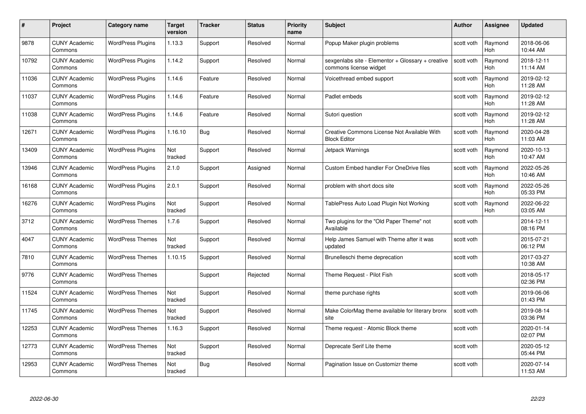| #     | Project                         | <b>Category name</b>     | Target<br>version | <b>Tracker</b> | <b>Status</b> | <b>Priority</b><br>name | <b>Subject</b>                                                              | <b>Author</b> | <b>Assignee</b>       | <b>Updated</b>         |
|-------|---------------------------------|--------------------------|-------------------|----------------|---------------|-------------------------|-----------------------------------------------------------------------------|---------------|-----------------------|------------------------|
| 9878  | <b>CUNY Academic</b><br>Commons | <b>WordPress Plugins</b> | 1.13.3            | Support        | Resolved      | Normal                  | Popup Maker plugin problems                                                 | scott voth    | Raymond<br>Hoh        | 2018-06-06<br>10:44 AM |
| 10792 | <b>CUNY Academic</b><br>Commons | <b>WordPress Plugins</b> | 1.14.2            | Support        | Resolved      | Normal                  | sexgenlabs site - Elementor + Glossary + creative<br>commons license widget | scott voth    | Raymond<br><b>Hoh</b> | 2018-12-11<br>11:14 AM |
| 11036 | <b>CUNY Academic</b><br>Commons | <b>WordPress Plugins</b> | 1.14.6            | Feature        | Resolved      | Normal                  | Voicethread embed support                                                   | scott voth    | Raymond<br>Hoh        | 2019-02-12<br>11:28 AM |
| 11037 | <b>CUNY Academic</b><br>Commons | <b>WordPress Plugins</b> | 1.14.6            | Feature        | Resolved      | Normal                  | Padlet embeds                                                               | scott voth    | Raymond<br>Hoh        | 2019-02-12<br>11:28 AM |
| 11038 | <b>CUNY Academic</b><br>Commons | <b>WordPress Plugins</b> | 1.14.6            | Feature        | Resolved      | Normal                  | Sutori question                                                             | scott voth    | Raymond<br>Hoh        | 2019-02-12<br>11:28 AM |
| 12671 | <b>CUNY Academic</b><br>Commons | <b>WordPress Plugins</b> | 1.16.10           | Bug            | Resolved      | Normal                  | Creative Commons License Not Available With<br><b>Block Editor</b>          | scott voth    | Raymond<br>Hoh        | 2020-04-28<br>11:03 AM |
| 13409 | <b>CUNY Academic</b><br>Commons | <b>WordPress Plugins</b> | Not<br>tracked    | Support        | Resolved      | Normal                  | Jetpack Warnings                                                            | scott voth    | Raymond<br>Hoh        | 2020-10-13<br>10:47 AM |
| 13946 | <b>CUNY Academic</b><br>Commons | <b>WordPress Plugins</b> | 2.1.0             | Support        | Assigned      | Normal                  | <b>Custom Embed handler For OneDrive files</b>                              | scott voth    | Raymond<br><b>Hoh</b> | 2022-05-26<br>10:46 AM |
| 16168 | <b>CUNY Academic</b><br>Commons | <b>WordPress Plugins</b> | 2.0.1             | Support        | Resolved      | Normal                  | problem with short docs site                                                | scott voth    | Raymond<br>Hoh        | 2022-05-26<br>05:33 PM |
| 16276 | <b>CUNY Academic</b><br>Commons | <b>WordPress Plugins</b> | Not<br>tracked    | Support        | Resolved      | Normal                  | TablePress Auto Load Plugin Not Working                                     | scott voth    | Raymond<br>Hoh        | 2022-06-22<br>03:05 AM |
| 3712  | CUNY Academic<br>Commons        | <b>WordPress Themes</b>  | 1.7.6             | Support        | Resolved      | Normal                  | Two plugins for the "Old Paper Theme" not<br>Available                      | scott voth    |                       | 2014-12-11<br>08:16 PM |
| 4047  | <b>CUNY Academic</b><br>Commons | <b>WordPress Themes</b>  | Not<br>tracked    | Support        | Resolved      | Normal                  | Help James Samuel with Theme after it was<br>updated                        | scott voth    |                       | 2015-07-21<br>06:12 PM |
| 7810  | <b>CUNY Academic</b><br>Commons | <b>WordPress Themes</b>  | 1.10.15           | Support        | Resolved      | Normal                  | Brunelleschi theme deprecation                                              | scott voth    |                       | 2017-03-27<br>10:38 AM |
| 9776  | <b>CUNY Academic</b><br>Commons | <b>WordPress Themes</b>  |                   | Support        | Rejected      | Normal                  | Theme Request - Pilot Fish                                                  | scott voth    |                       | 2018-05-17<br>02:36 PM |
| 11524 | <b>CUNY Academic</b><br>Commons | <b>WordPress Themes</b>  | Not<br>tracked    | Support        | Resolved      | Normal                  | theme purchase rights                                                       | scott voth    |                       | 2019-06-06<br>01:43 PM |
| 11745 | <b>CUNY Academic</b><br>Commons | <b>WordPress Themes</b>  | Not<br>tracked    | Support        | Resolved      | Normal                  | Make ColorMag theme available for literary bronx<br>site                    | scott voth    |                       | 2019-08-14<br>03:36 PM |
| 12253 | <b>CUNY Academic</b><br>Commons | <b>WordPress Themes</b>  | 1.16.3            | Support        | Resolved      | Normal                  | Theme request - Atomic Block theme                                          | scott voth    |                       | 2020-01-14<br>02:07 PM |
| 12773 | <b>CUNY Academic</b><br>Commons | <b>WordPress Themes</b>  | Not<br>tracked    | Support        | Resolved      | Normal                  | Deprecate Serif Lite theme                                                  | scott voth    |                       | 2020-05-12<br>05:44 PM |
| 12953 | CUNY Academic<br>Commons        | <b>WordPress Themes</b>  | Not<br>tracked    | Bug            | Resolved      | Normal                  | Pagination Issue on Customizr theme                                         | scott voth    |                       | 2020-07-14<br>11:53 AM |